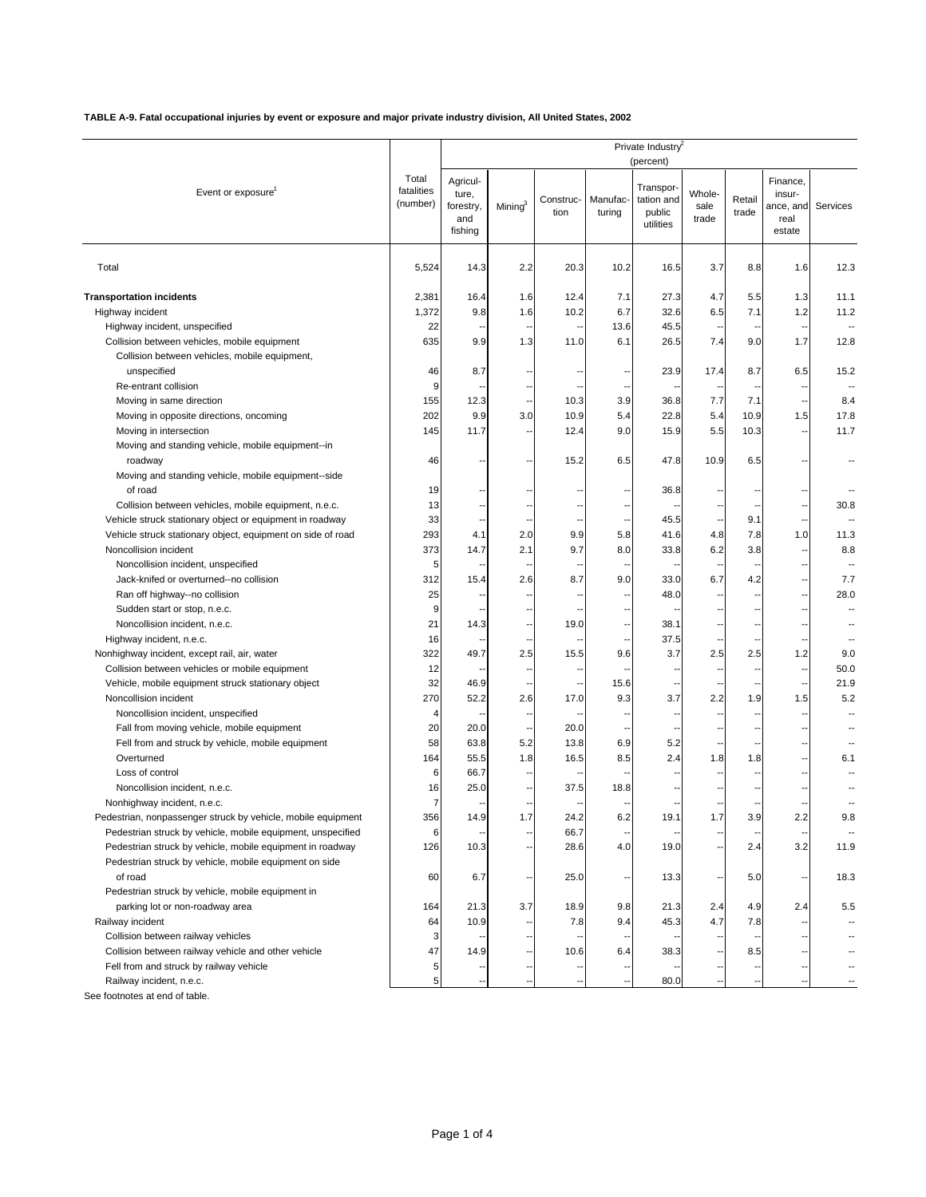## **TABLE A-9. Fatal occupational injuries by event or exposure and major private industry division, All United States, 2002**

| Total<br>Agricul-<br>Finance,<br>Transpor-<br>fatalities<br>Event or exposure<br>Whole-<br>ture,<br>insur-<br>Manufac-<br>tation and<br>Retail<br>Construc-<br>(number)<br>Mining $3$<br>forestry,<br>sale<br>Services<br>ance, and<br>public<br>trade<br>tion<br>turing<br>and<br>trade<br>real<br>utilities<br>fishing<br>estate<br>Total<br>5,524<br>14.3<br>2.2<br>20.3<br>10.2<br>16.5<br>3.7<br>8.8<br>1.6<br>12.3<br><b>Transportation incidents</b><br>2,381<br>1.6<br>12.4<br>7.1<br>27.3<br>4.7<br>5.5<br>1.3<br>11.1<br>16.4<br>1,372<br>10.2<br>6.7<br>6.5<br>7.1<br>1.2<br>Highway incident<br>9.8<br>1.6<br>32.6<br>11.2<br>45.5<br>22<br>13.6<br>Highway incident, unspecified<br>٠.<br>$\overline{\phantom{a}}$<br>$\blacksquare$<br>$\overline{\phantom{a}}$<br>Collision between vehicles, mobile equipment<br>635<br>9.9<br>1.3<br>11.0<br>6.1<br>26.5<br>7.4<br>9.0<br>1.7<br>12.8<br>Collision between vehicles, mobile equipment,<br>unspecified<br>46<br>23.9<br>17.4<br>8.7<br>6.5<br>15.2<br>8.7<br>$\overline{\phantom{a}}$<br>Ξ,<br>9<br>Re-entrant collision<br>$\overline{\phantom{a}}$<br>3.9<br>155<br>12.3<br>10.3<br>36.8<br>7.7<br>7.1<br>8.4<br>Moving in same direction<br>٠.<br>$\overline{\phantom{a}}$<br>202<br>10.9<br>22.8<br>9.9<br>3.0<br>5.4<br>5.4<br>10.9<br>1.5<br>17.8<br>Moving in opposite directions, oncoming<br>11.7<br>Moving in intersection<br>145<br>11.7<br>12.4<br>9.0<br>15.9<br>5.5<br>10.3<br>Ξ,<br>Ξ,<br>Moving and standing vehicle, mobile equipment--in<br>46<br>15.2<br>6.5<br>47.8<br>10.9<br>6.5<br>roadway<br>Moving and standing vehicle, mobile equipment--side<br>of road<br>19<br>36.8<br>Ξ,<br>Collision between vehicles, mobile equipment, n.e.c.<br>13<br>30.8<br>33<br>Vehicle struck stationary object or equipment in roadway<br>45.5<br>9.1<br>٠.<br>٠.<br>Ξ,<br>Ξ.<br>$\overline{\phantom{a}}$<br>293<br>9.9<br>41.6<br>7.8<br>Vehicle struck stationary object, equipment on side of road<br>4.1<br>2.0<br>5.8<br>4.8<br>1.0<br>11.3<br>2.1<br>Noncollision incident<br>373<br>9.7<br>8.0<br>33.8<br>6.2<br>3.8<br>8.8<br>14.7<br>Noncollision incident, unspecified<br>5<br>6.7<br>Jack-knifed or overturned--no collision<br>312<br>2.6<br>8.7<br>9.0<br>33.0<br>4.2<br>7.7<br>15.4<br>25<br>Ran off highway--no collision<br>48.0<br>28.0<br>٠.<br>÷.<br>٠.<br>9<br>Sudden start or stop, n.e.c.<br>$\overline{\phantom{a}}$<br>21<br>19.0<br>38.1<br>Noncollision incident, n.e.c.<br>14.3<br>$\overline{\phantom{a}}$<br>-<br>$\overline{\phantom{a}}$<br>Highway incident, n.e.c.<br>16<br>37.5<br>٠.<br>Ξ.<br>ц.<br>--<br>322<br>3.7<br>2.5<br>2.5<br>15.5<br>9.6<br>2.5<br>1.2<br>9.0<br>Nonhighway incident, except rail, air, water<br>49.7<br>12<br>Collision between vehicles or mobile equipment<br>50.0<br>32<br>Vehicle, mobile equipment struck stationary object<br>46.9<br>15.6<br>21.9<br>Ξ.<br>٠.<br>ц.<br>Ξ,<br>270<br>Noncollision incident<br>52.2<br>2.6<br>17.0<br>9.3<br>3.7<br>2.2<br>1.9<br>1.5<br>5.2<br>Noncollision incident, unspecified<br>4<br>$\overline{\phantom{a}}$<br>20<br>Fall from moving vehicle, mobile equipment<br>20.0<br>20.0<br>$\overline{\phantom{a}}$<br>٠.<br>Fell from and struck by vehicle, mobile equipment<br>58<br>63.8<br>5.2<br>13.8<br>6.9<br>5.2<br>ц.<br>2.4<br>1.8<br>Overturned<br>164<br>55.5<br>1.8<br>16.5<br>8.5<br>1.8<br>6.1<br>$\overline{\phantom{a}}$<br>Loss of control<br>6<br>66.7<br>ц.<br>Noncollision incident, n.e.c.<br>16<br>25.0<br>37.5<br>18.8<br>7<br>Nonhighway incident, n.e.c.<br>٠.<br>$\overline{\phantom{a}}$<br>$\overline{\phantom{a}}$<br>٠.<br>Ξ.<br>Pedestrian, nonpassenger struck by vehicle, mobile equipment<br>356<br>14.9<br>1.7<br>24.2<br>6.2<br>19.1<br>1.7<br>3.9<br>2.2<br>9.8<br>6<br>66.7<br>Pedestrian struck by vehicle, mobile equipment, unspecified<br>3.2<br>Pedestrian struck by vehicle, mobile equipment in roadway<br>126<br>10.3<br>28.6<br>4.0<br>19.0<br>2.4<br>11.9<br>٠.<br>٠.<br>Pedestrian struck by vehicle, mobile equipment on side<br>of road<br>60<br>6.7<br>25.0<br>13.3<br>5.0<br>18.3<br>٠.<br>Ξ,<br>Pedestrian struck by vehicle, mobile equipment in<br>parking lot or non-roadway area<br>164<br>21.3<br>3.7<br>18.9<br>9.8<br>21.3<br>2.4<br>4.9<br>2.4<br>5.5<br>Railway incident<br>64<br>7.8<br>9.4<br>45.3<br>4.7<br>10.9<br>7.8<br>Collision between railway vehicles<br>3<br>47<br>Collision between railway vehicle and other vehicle<br>14.9<br>10.6<br>38.3<br>8.5<br>6.4<br>Fell from and struck by railway vehicle<br>5<br>5<br>Railway incident, n.e.c.<br>80.0<br>$\overline{\phantom{a}}$ |  | Private Industry<br>(percent) |  |  |  |  |  |  |  |  |  |
|-------------------------------------------------------------------------------------------------------------------------------------------------------------------------------------------------------------------------------------------------------------------------------------------------------------------------------------------------------------------------------------------------------------------------------------------------------------------------------------------------------------------------------------------------------------------------------------------------------------------------------------------------------------------------------------------------------------------------------------------------------------------------------------------------------------------------------------------------------------------------------------------------------------------------------------------------------------------------------------------------------------------------------------------------------------------------------------------------------------------------------------------------------------------------------------------------------------------------------------------------------------------------------------------------------------------------------------------------------------------------------------------------------------------------------------------------------------------------------------------------------------------------------------------------------------------------------------------------------------------------------------------------------------------------------------------------------------------------------------------------------------------------------------------------------------------------------------------------------------------------------------------------------------------------------------------------------------------------------------------------------------------------------------------------------------------------------------------------------------------------------------------------------------------------------------------------------------------------------------------------------------------------------------------------------------------------------------------------------------------------------------------------------------------------------------------------------------------------------------------------------------------------------------------------------------------------------------------------------------------------------------------------------------------------------------------------------------------------------------------------------------------------------------------------------------------------------------------------------------------------------------------------------------------------------------------------------------------------------------------------------------------------------------------------------------------------------------------------------------------------------------------------------------------------------------------------------------------------------------------------------------------------------------------------------------------------------------------------------------------------------------------------------------------------------------------------------------------------------------------------------------------------------------------------------------------------------------------------------------------------------------------------------------------------------------------------------------------------------------------------------------------------------------------------------------------------------------------------------------------------------------------------------------------------------------------------------------------------------------------------------------------------------------------------------------------------------------------------------------------------------------------------------------------------------------------------------------------------------------------------------------------------------------------------------------------------------------------------------------------------------------------------------------------------------------------------------------------------------------------------------------------------------------------------------------------------------------------------------------------------------------------|--|-------------------------------|--|--|--|--|--|--|--|--|--|
|                                                                                                                                                                                                                                                                                                                                                                                                                                                                                                                                                                                                                                                                                                                                                                                                                                                                                                                                                                                                                                                                                                                                                                                                                                                                                                                                                                                                                                                                                                                                                                                                                                                                                                                                                                                                                                                                                                                                                                                                                                                                                                                                                                                                                                                                                                                                                                                                                                                                                                                                                                                                                                                                                                                                                                                                                                                                                                                                                                                                                                                                                                                                                                                                                                                                                                                                                                                                                                                                                                                                                                                                                                                                                                                                                                                                                                                                                                                                                                                                                                                                                                                                                                                                                                                                                                                                                                                                                                                                                                                                                                                                                                           |  |                               |  |  |  |  |  |  |  |  |  |
|                                                                                                                                                                                                                                                                                                                                                                                                                                                                                                                                                                                                                                                                                                                                                                                                                                                                                                                                                                                                                                                                                                                                                                                                                                                                                                                                                                                                                                                                                                                                                                                                                                                                                                                                                                                                                                                                                                                                                                                                                                                                                                                                                                                                                                                                                                                                                                                                                                                                                                                                                                                                                                                                                                                                                                                                                                                                                                                                                                                                                                                                                                                                                                                                                                                                                                                                                                                                                                                                                                                                                                                                                                                                                                                                                                                                                                                                                                                                                                                                                                                                                                                                                                                                                                                                                                                                                                                                                                                                                                                                                                                                                                           |  |                               |  |  |  |  |  |  |  |  |  |
|                                                                                                                                                                                                                                                                                                                                                                                                                                                                                                                                                                                                                                                                                                                                                                                                                                                                                                                                                                                                                                                                                                                                                                                                                                                                                                                                                                                                                                                                                                                                                                                                                                                                                                                                                                                                                                                                                                                                                                                                                                                                                                                                                                                                                                                                                                                                                                                                                                                                                                                                                                                                                                                                                                                                                                                                                                                                                                                                                                                                                                                                                                                                                                                                                                                                                                                                                                                                                                                                                                                                                                                                                                                                                                                                                                                                                                                                                                                                                                                                                                                                                                                                                                                                                                                                                                                                                                                                                                                                                                                                                                                                                                           |  |                               |  |  |  |  |  |  |  |  |  |
|                                                                                                                                                                                                                                                                                                                                                                                                                                                                                                                                                                                                                                                                                                                                                                                                                                                                                                                                                                                                                                                                                                                                                                                                                                                                                                                                                                                                                                                                                                                                                                                                                                                                                                                                                                                                                                                                                                                                                                                                                                                                                                                                                                                                                                                                                                                                                                                                                                                                                                                                                                                                                                                                                                                                                                                                                                                                                                                                                                                                                                                                                                                                                                                                                                                                                                                                                                                                                                                                                                                                                                                                                                                                                                                                                                                                                                                                                                                                                                                                                                                                                                                                                                                                                                                                                                                                                                                                                                                                                                                                                                                                                                           |  |                               |  |  |  |  |  |  |  |  |  |
|                                                                                                                                                                                                                                                                                                                                                                                                                                                                                                                                                                                                                                                                                                                                                                                                                                                                                                                                                                                                                                                                                                                                                                                                                                                                                                                                                                                                                                                                                                                                                                                                                                                                                                                                                                                                                                                                                                                                                                                                                                                                                                                                                                                                                                                                                                                                                                                                                                                                                                                                                                                                                                                                                                                                                                                                                                                                                                                                                                                                                                                                                                                                                                                                                                                                                                                                                                                                                                                                                                                                                                                                                                                                                                                                                                                                                                                                                                                                                                                                                                                                                                                                                                                                                                                                                                                                                                                                                                                                                                                                                                                                                                           |  |                               |  |  |  |  |  |  |  |  |  |
|                                                                                                                                                                                                                                                                                                                                                                                                                                                                                                                                                                                                                                                                                                                                                                                                                                                                                                                                                                                                                                                                                                                                                                                                                                                                                                                                                                                                                                                                                                                                                                                                                                                                                                                                                                                                                                                                                                                                                                                                                                                                                                                                                                                                                                                                                                                                                                                                                                                                                                                                                                                                                                                                                                                                                                                                                                                                                                                                                                                                                                                                                                                                                                                                                                                                                                                                                                                                                                                                                                                                                                                                                                                                                                                                                                                                                                                                                                                                                                                                                                                                                                                                                                                                                                                                                                                                                                                                                                                                                                                                                                                                                                           |  |                               |  |  |  |  |  |  |  |  |  |
|                                                                                                                                                                                                                                                                                                                                                                                                                                                                                                                                                                                                                                                                                                                                                                                                                                                                                                                                                                                                                                                                                                                                                                                                                                                                                                                                                                                                                                                                                                                                                                                                                                                                                                                                                                                                                                                                                                                                                                                                                                                                                                                                                                                                                                                                                                                                                                                                                                                                                                                                                                                                                                                                                                                                                                                                                                                                                                                                                                                                                                                                                                                                                                                                                                                                                                                                                                                                                                                                                                                                                                                                                                                                                                                                                                                                                                                                                                                                                                                                                                                                                                                                                                                                                                                                                                                                                                                                                                                                                                                                                                                                                                           |  |                               |  |  |  |  |  |  |  |  |  |
|                                                                                                                                                                                                                                                                                                                                                                                                                                                                                                                                                                                                                                                                                                                                                                                                                                                                                                                                                                                                                                                                                                                                                                                                                                                                                                                                                                                                                                                                                                                                                                                                                                                                                                                                                                                                                                                                                                                                                                                                                                                                                                                                                                                                                                                                                                                                                                                                                                                                                                                                                                                                                                                                                                                                                                                                                                                                                                                                                                                                                                                                                                                                                                                                                                                                                                                                                                                                                                                                                                                                                                                                                                                                                                                                                                                                                                                                                                                                                                                                                                                                                                                                                                                                                                                                                                                                                                                                                                                                                                                                                                                                                                           |  |                               |  |  |  |  |  |  |  |  |  |
|                                                                                                                                                                                                                                                                                                                                                                                                                                                                                                                                                                                                                                                                                                                                                                                                                                                                                                                                                                                                                                                                                                                                                                                                                                                                                                                                                                                                                                                                                                                                                                                                                                                                                                                                                                                                                                                                                                                                                                                                                                                                                                                                                                                                                                                                                                                                                                                                                                                                                                                                                                                                                                                                                                                                                                                                                                                                                                                                                                                                                                                                                                                                                                                                                                                                                                                                                                                                                                                                                                                                                                                                                                                                                                                                                                                                                                                                                                                                                                                                                                                                                                                                                                                                                                                                                                                                                                                                                                                                                                                                                                                                                                           |  |                               |  |  |  |  |  |  |  |  |  |
|                                                                                                                                                                                                                                                                                                                                                                                                                                                                                                                                                                                                                                                                                                                                                                                                                                                                                                                                                                                                                                                                                                                                                                                                                                                                                                                                                                                                                                                                                                                                                                                                                                                                                                                                                                                                                                                                                                                                                                                                                                                                                                                                                                                                                                                                                                                                                                                                                                                                                                                                                                                                                                                                                                                                                                                                                                                                                                                                                                                                                                                                                                                                                                                                                                                                                                                                                                                                                                                                                                                                                                                                                                                                                                                                                                                                                                                                                                                                                                                                                                                                                                                                                                                                                                                                                                                                                                                                                                                                                                                                                                                                                                           |  |                               |  |  |  |  |  |  |  |  |  |
|                                                                                                                                                                                                                                                                                                                                                                                                                                                                                                                                                                                                                                                                                                                                                                                                                                                                                                                                                                                                                                                                                                                                                                                                                                                                                                                                                                                                                                                                                                                                                                                                                                                                                                                                                                                                                                                                                                                                                                                                                                                                                                                                                                                                                                                                                                                                                                                                                                                                                                                                                                                                                                                                                                                                                                                                                                                                                                                                                                                                                                                                                                                                                                                                                                                                                                                                                                                                                                                                                                                                                                                                                                                                                                                                                                                                                                                                                                                                                                                                                                                                                                                                                                                                                                                                                                                                                                                                                                                                                                                                                                                                                                           |  |                               |  |  |  |  |  |  |  |  |  |
|                                                                                                                                                                                                                                                                                                                                                                                                                                                                                                                                                                                                                                                                                                                                                                                                                                                                                                                                                                                                                                                                                                                                                                                                                                                                                                                                                                                                                                                                                                                                                                                                                                                                                                                                                                                                                                                                                                                                                                                                                                                                                                                                                                                                                                                                                                                                                                                                                                                                                                                                                                                                                                                                                                                                                                                                                                                                                                                                                                                                                                                                                                                                                                                                                                                                                                                                                                                                                                                                                                                                                                                                                                                                                                                                                                                                                                                                                                                                                                                                                                                                                                                                                                                                                                                                                                                                                                                                                                                                                                                                                                                                                                           |  |                               |  |  |  |  |  |  |  |  |  |
|                                                                                                                                                                                                                                                                                                                                                                                                                                                                                                                                                                                                                                                                                                                                                                                                                                                                                                                                                                                                                                                                                                                                                                                                                                                                                                                                                                                                                                                                                                                                                                                                                                                                                                                                                                                                                                                                                                                                                                                                                                                                                                                                                                                                                                                                                                                                                                                                                                                                                                                                                                                                                                                                                                                                                                                                                                                                                                                                                                                                                                                                                                                                                                                                                                                                                                                                                                                                                                                                                                                                                                                                                                                                                                                                                                                                                                                                                                                                                                                                                                                                                                                                                                                                                                                                                                                                                                                                                                                                                                                                                                                                                                           |  |                               |  |  |  |  |  |  |  |  |  |
|                                                                                                                                                                                                                                                                                                                                                                                                                                                                                                                                                                                                                                                                                                                                                                                                                                                                                                                                                                                                                                                                                                                                                                                                                                                                                                                                                                                                                                                                                                                                                                                                                                                                                                                                                                                                                                                                                                                                                                                                                                                                                                                                                                                                                                                                                                                                                                                                                                                                                                                                                                                                                                                                                                                                                                                                                                                                                                                                                                                                                                                                                                                                                                                                                                                                                                                                                                                                                                                                                                                                                                                                                                                                                                                                                                                                                                                                                                                                                                                                                                                                                                                                                                                                                                                                                                                                                                                                                                                                                                                                                                                                                                           |  |                               |  |  |  |  |  |  |  |  |  |
|                                                                                                                                                                                                                                                                                                                                                                                                                                                                                                                                                                                                                                                                                                                                                                                                                                                                                                                                                                                                                                                                                                                                                                                                                                                                                                                                                                                                                                                                                                                                                                                                                                                                                                                                                                                                                                                                                                                                                                                                                                                                                                                                                                                                                                                                                                                                                                                                                                                                                                                                                                                                                                                                                                                                                                                                                                                                                                                                                                                                                                                                                                                                                                                                                                                                                                                                                                                                                                                                                                                                                                                                                                                                                                                                                                                                                                                                                                                                                                                                                                                                                                                                                                                                                                                                                                                                                                                                                                                                                                                                                                                                                                           |  |                               |  |  |  |  |  |  |  |  |  |
|                                                                                                                                                                                                                                                                                                                                                                                                                                                                                                                                                                                                                                                                                                                                                                                                                                                                                                                                                                                                                                                                                                                                                                                                                                                                                                                                                                                                                                                                                                                                                                                                                                                                                                                                                                                                                                                                                                                                                                                                                                                                                                                                                                                                                                                                                                                                                                                                                                                                                                                                                                                                                                                                                                                                                                                                                                                                                                                                                                                                                                                                                                                                                                                                                                                                                                                                                                                                                                                                                                                                                                                                                                                                                                                                                                                                                                                                                                                                                                                                                                                                                                                                                                                                                                                                                                                                                                                                                                                                                                                                                                                                                                           |  |                               |  |  |  |  |  |  |  |  |  |
|                                                                                                                                                                                                                                                                                                                                                                                                                                                                                                                                                                                                                                                                                                                                                                                                                                                                                                                                                                                                                                                                                                                                                                                                                                                                                                                                                                                                                                                                                                                                                                                                                                                                                                                                                                                                                                                                                                                                                                                                                                                                                                                                                                                                                                                                                                                                                                                                                                                                                                                                                                                                                                                                                                                                                                                                                                                                                                                                                                                                                                                                                                                                                                                                                                                                                                                                                                                                                                                                                                                                                                                                                                                                                                                                                                                                                                                                                                                                                                                                                                                                                                                                                                                                                                                                                                                                                                                                                                                                                                                                                                                                                                           |  |                               |  |  |  |  |  |  |  |  |  |
|                                                                                                                                                                                                                                                                                                                                                                                                                                                                                                                                                                                                                                                                                                                                                                                                                                                                                                                                                                                                                                                                                                                                                                                                                                                                                                                                                                                                                                                                                                                                                                                                                                                                                                                                                                                                                                                                                                                                                                                                                                                                                                                                                                                                                                                                                                                                                                                                                                                                                                                                                                                                                                                                                                                                                                                                                                                                                                                                                                                                                                                                                                                                                                                                                                                                                                                                                                                                                                                                                                                                                                                                                                                                                                                                                                                                                                                                                                                                                                                                                                                                                                                                                                                                                                                                                                                                                                                                                                                                                                                                                                                                                                           |  |                               |  |  |  |  |  |  |  |  |  |
|                                                                                                                                                                                                                                                                                                                                                                                                                                                                                                                                                                                                                                                                                                                                                                                                                                                                                                                                                                                                                                                                                                                                                                                                                                                                                                                                                                                                                                                                                                                                                                                                                                                                                                                                                                                                                                                                                                                                                                                                                                                                                                                                                                                                                                                                                                                                                                                                                                                                                                                                                                                                                                                                                                                                                                                                                                                                                                                                                                                                                                                                                                                                                                                                                                                                                                                                                                                                                                                                                                                                                                                                                                                                                                                                                                                                                                                                                                                                                                                                                                                                                                                                                                                                                                                                                                                                                                                                                                                                                                                                                                                                                                           |  |                               |  |  |  |  |  |  |  |  |  |
|                                                                                                                                                                                                                                                                                                                                                                                                                                                                                                                                                                                                                                                                                                                                                                                                                                                                                                                                                                                                                                                                                                                                                                                                                                                                                                                                                                                                                                                                                                                                                                                                                                                                                                                                                                                                                                                                                                                                                                                                                                                                                                                                                                                                                                                                                                                                                                                                                                                                                                                                                                                                                                                                                                                                                                                                                                                                                                                                                                                                                                                                                                                                                                                                                                                                                                                                                                                                                                                                                                                                                                                                                                                                                                                                                                                                                                                                                                                                                                                                                                                                                                                                                                                                                                                                                                                                                                                                                                                                                                                                                                                                                                           |  |                               |  |  |  |  |  |  |  |  |  |
|                                                                                                                                                                                                                                                                                                                                                                                                                                                                                                                                                                                                                                                                                                                                                                                                                                                                                                                                                                                                                                                                                                                                                                                                                                                                                                                                                                                                                                                                                                                                                                                                                                                                                                                                                                                                                                                                                                                                                                                                                                                                                                                                                                                                                                                                                                                                                                                                                                                                                                                                                                                                                                                                                                                                                                                                                                                                                                                                                                                                                                                                                                                                                                                                                                                                                                                                                                                                                                                                                                                                                                                                                                                                                                                                                                                                                                                                                                                                                                                                                                                                                                                                                                                                                                                                                                                                                                                                                                                                                                                                                                                                                                           |  |                               |  |  |  |  |  |  |  |  |  |
|                                                                                                                                                                                                                                                                                                                                                                                                                                                                                                                                                                                                                                                                                                                                                                                                                                                                                                                                                                                                                                                                                                                                                                                                                                                                                                                                                                                                                                                                                                                                                                                                                                                                                                                                                                                                                                                                                                                                                                                                                                                                                                                                                                                                                                                                                                                                                                                                                                                                                                                                                                                                                                                                                                                                                                                                                                                                                                                                                                                                                                                                                                                                                                                                                                                                                                                                                                                                                                                                                                                                                                                                                                                                                                                                                                                                                                                                                                                                                                                                                                                                                                                                                                                                                                                                                                                                                                                                                                                                                                                                                                                                                                           |  |                               |  |  |  |  |  |  |  |  |  |
|                                                                                                                                                                                                                                                                                                                                                                                                                                                                                                                                                                                                                                                                                                                                                                                                                                                                                                                                                                                                                                                                                                                                                                                                                                                                                                                                                                                                                                                                                                                                                                                                                                                                                                                                                                                                                                                                                                                                                                                                                                                                                                                                                                                                                                                                                                                                                                                                                                                                                                                                                                                                                                                                                                                                                                                                                                                                                                                                                                                                                                                                                                                                                                                                                                                                                                                                                                                                                                                                                                                                                                                                                                                                                                                                                                                                                                                                                                                                                                                                                                                                                                                                                                                                                                                                                                                                                                                                                                                                                                                                                                                                                                           |  |                               |  |  |  |  |  |  |  |  |  |
|                                                                                                                                                                                                                                                                                                                                                                                                                                                                                                                                                                                                                                                                                                                                                                                                                                                                                                                                                                                                                                                                                                                                                                                                                                                                                                                                                                                                                                                                                                                                                                                                                                                                                                                                                                                                                                                                                                                                                                                                                                                                                                                                                                                                                                                                                                                                                                                                                                                                                                                                                                                                                                                                                                                                                                                                                                                                                                                                                                                                                                                                                                                                                                                                                                                                                                                                                                                                                                                                                                                                                                                                                                                                                                                                                                                                                                                                                                                                                                                                                                                                                                                                                                                                                                                                                                                                                                                                                                                                                                                                                                                                                                           |  |                               |  |  |  |  |  |  |  |  |  |
|                                                                                                                                                                                                                                                                                                                                                                                                                                                                                                                                                                                                                                                                                                                                                                                                                                                                                                                                                                                                                                                                                                                                                                                                                                                                                                                                                                                                                                                                                                                                                                                                                                                                                                                                                                                                                                                                                                                                                                                                                                                                                                                                                                                                                                                                                                                                                                                                                                                                                                                                                                                                                                                                                                                                                                                                                                                                                                                                                                                                                                                                                                                                                                                                                                                                                                                                                                                                                                                                                                                                                                                                                                                                                                                                                                                                                                                                                                                                                                                                                                                                                                                                                                                                                                                                                                                                                                                                                                                                                                                                                                                                                                           |  |                               |  |  |  |  |  |  |  |  |  |
|                                                                                                                                                                                                                                                                                                                                                                                                                                                                                                                                                                                                                                                                                                                                                                                                                                                                                                                                                                                                                                                                                                                                                                                                                                                                                                                                                                                                                                                                                                                                                                                                                                                                                                                                                                                                                                                                                                                                                                                                                                                                                                                                                                                                                                                                                                                                                                                                                                                                                                                                                                                                                                                                                                                                                                                                                                                                                                                                                                                                                                                                                                                                                                                                                                                                                                                                                                                                                                                                                                                                                                                                                                                                                                                                                                                                                                                                                                                                                                                                                                                                                                                                                                                                                                                                                                                                                                                                                                                                                                                                                                                                                                           |  |                               |  |  |  |  |  |  |  |  |  |
|                                                                                                                                                                                                                                                                                                                                                                                                                                                                                                                                                                                                                                                                                                                                                                                                                                                                                                                                                                                                                                                                                                                                                                                                                                                                                                                                                                                                                                                                                                                                                                                                                                                                                                                                                                                                                                                                                                                                                                                                                                                                                                                                                                                                                                                                                                                                                                                                                                                                                                                                                                                                                                                                                                                                                                                                                                                                                                                                                                                                                                                                                                                                                                                                                                                                                                                                                                                                                                                                                                                                                                                                                                                                                                                                                                                                                                                                                                                                                                                                                                                                                                                                                                                                                                                                                                                                                                                                                                                                                                                                                                                                                                           |  |                               |  |  |  |  |  |  |  |  |  |
|                                                                                                                                                                                                                                                                                                                                                                                                                                                                                                                                                                                                                                                                                                                                                                                                                                                                                                                                                                                                                                                                                                                                                                                                                                                                                                                                                                                                                                                                                                                                                                                                                                                                                                                                                                                                                                                                                                                                                                                                                                                                                                                                                                                                                                                                                                                                                                                                                                                                                                                                                                                                                                                                                                                                                                                                                                                                                                                                                                                                                                                                                                                                                                                                                                                                                                                                                                                                                                                                                                                                                                                                                                                                                                                                                                                                                                                                                                                                                                                                                                                                                                                                                                                                                                                                                                                                                                                                                                                                                                                                                                                                                                           |  |                               |  |  |  |  |  |  |  |  |  |
|                                                                                                                                                                                                                                                                                                                                                                                                                                                                                                                                                                                                                                                                                                                                                                                                                                                                                                                                                                                                                                                                                                                                                                                                                                                                                                                                                                                                                                                                                                                                                                                                                                                                                                                                                                                                                                                                                                                                                                                                                                                                                                                                                                                                                                                                                                                                                                                                                                                                                                                                                                                                                                                                                                                                                                                                                                                                                                                                                                                                                                                                                                                                                                                                                                                                                                                                                                                                                                                                                                                                                                                                                                                                                                                                                                                                                                                                                                                                                                                                                                                                                                                                                                                                                                                                                                                                                                                                                                                                                                                                                                                                                                           |  |                               |  |  |  |  |  |  |  |  |  |
|                                                                                                                                                                                                                                                                                                                                                                                                                                                                                                                                                                                                                                                                                                                                                                                                                                                                                                                                                                                                                                                                                                                                                                                                                                                                                                                                                                                                                                                                                                                                                                                                                                                                                                                                                                                                                                                                                                                                                                                                                                                                                                                                                                                                                                                                                                                                                                                                                                                                                                                                                                                                                                                                                                                                                                                                                                                                                                                                                                                                                                                                                                                                                                                                                                                                                                                                                                                                                                                                                                                                                                                                                                                                                                                                                                                                                                                                                                                                                                                                                                                                                                                                                                                                                                                                                                                                                                                                                                                                                                                                                                                                                                           |  |                               |  |  |  |  |  |  |  |  |  |
|                                                                                                                                                                                                                                                                                                                                                                                                                                                                                                                                                                                                                                                                                                                                                                                                                                                                                                                                                                                                                                                                                                                                                                                                                                                                                                                                                                                                                                                                                                                                                                                                                                                                                                                                                                                                                                                                                                                                                                                                                                                                                                                                                                                                                                                                                                                                                                                                                                                                                                                                                                                                                                                                                                                                                                                                                                                                                                                                                                                                                                                                                                                                                                                                                                                                                                                                                                                                                                                                                                                                                                                                                                                                                                                                                                                                                                                                                                                                                                                                                                                                                                                                                                                                                                                                                                                                                                                                                                                                                                                                                                                                                                           |  |                               |  |  |  |  |  |  |  |  |  |
|                                                                                                                                                                                                                                                                                                                                                                                                                                                                                                                                                                                                                                                                                                                                                                                                                                                                                                                                                                                                                                                                                                                                                                                                                                                                                                                                                                                                                                                                                                                                                                                                                                                                                                                                                                                                                                                                                                                                                                                                                                                                                                                                                                                                                                                                                                                                                                                                                                                                                                                                                                                                                                                                                                                                                                                                                                                                                                                                                                                                                                                                                                                                                                                                                                                                                                                                                                                                                                                                                                                                                                                                                                                                                                                                                                                                                                                                                                                                                                                                                                                                                                                                                                                                                                                                                                                                                                                                                                                                                                                                                                                                                                           |  |                               |  |  |  |  |  |  |  |  |  |
|                                                                                                                                                                                                                                                                                                                                                                                                                                                                                                                                                                                                                                                                                                                                                                                                                                                                                                                                                                                                                                                                                                                                                                                                                                                                                                                                                                                                                                                                                                                                                                                                                                                                                                                                                                                                                                                                                                                                                                                                                                                                                                                                                                                                                                                                                                                                                                                                                                                                                                                                                                                                                                                                                                                                                                                                                                                                                                                                                                                                                                                                                                                                                                                                                                                                                                                                                                                                                                                                                                                                                                                                                                                                                                                                                                                                                                                                                                                                                                                                                                                                                                                                                                                                                                                                                                                                                                                                                                                                                                                                                                                                                                           |  |                               |  |  |  |  |  |  |  |  |  |
|                                                                                                                                                                                                                                                                                                                                                                                                                                                                                                                                                                                                                                                                                                                                                                                                                                                                                                                                                                                                                                                                                                                                                                                                                                                                                                                                                                                                                                                                                                                                                                                                                                                                                                                                                                                                                                                                                                                                                                                                                                                                                                                                                                                                                                                                                                                                                                                                                                                                                                                                                                                                                                                                                                                                                                                                                                                                                                                                                                                                                                                                                                                                                                                                                                                                                                                                                                                                                                                                                                                                                                                                                                                                                                                                                                                                                                                                                                                                                                                                                                                                                                                                                                                                                                                                                                                                                                                                                                                                                                                                                                                                                                           |  |                               |  |  |  |  |  |  |  |  |  |
|                                                                                                                                                                                                                                                                                                                                                                                                                                                                                                                                                                                                                                                                                                                                                                                                                                                                                                                                                                                                                                                                                                                                                                                                                                                                                                                                                                                                                                                                                                                                                                                                                                                                                                                                                                                                                                                                                                                                                                                                                                                                                                                                                                                                                                                                                                                                                                                                                                                                                                                                                                                                                                                                                                                                                                                                                                                                                                                                                                                                                                                                                                                                                                                                                                                                                                                                                                                                                                                                                                                                                                                                                                                                                                                                                                                                                                                                                                                                                                                                                                                                                                                                                                                                                                                                                                                                                                                                                                                                                                                                                                                                                                           |  |                               |  |  |  |  |  |  |  |  |  |
|                                                                                                                                                                                                                                                                                                                                                                                                                                                                                                                                                                                                                                                                                                                                                                                                                                                                                                                                                                                                                                                                                                                                                                                                                                                                                                                                                                                                                                                                                                                                                                                                                                                                                                                                                                                                                                                                                                                                                                                                                                                                                                                                                                                                                                                                                                                                                                                                                                                                                                                                                                                                                                                                                                                                                                                                                                                                                                                                                                                                                                                                                                                                                                                                                                                                                                                                                                                                                                                                                                                                                                                                                                                                                                                                                                                                                                                                                                                                                                                                                                                                                                                                                                                                                                                                                                                                                                                                                                                                                                                                                                                                                                           |  |                               |  |  |  |  |  |  |  |  |  |
|                                                                                                                                                                                                                                                                                                                                                                                                                                                                                                                                                                                                                                                                                                                                                                                                                                                                                                                                                                                                                                                                                                                                                                                                                                                                                                                                                                                                                                                                                                                                                                                                                                                                                                                                                                                                                                                                                                                                                                                                                                                                                                                                                                                                                                                                                                                                                                                                                                                                                                                                                                                                                                                                                                                                                                                                                                                                                                                                                                                                                                                                                                                                                                                                                                                                                                                                                                                                                                                                                                                                                                                                                                                                                                                                                                                                                                                                                                                                                                                                                                                                                                                                                                                                                                                                                                                                                                                                                                                                                                                                                                                                                                           |  |                               |  |  |  |  |  |  |  |  |  |
|                                                                                                                                                                                                                                                                                                                                                                                                                                                                                                                                                                                                                                                                                                                                                                                                                                                                                                                                                                                                                                                                                                                                                                                                                                                                                                                                                                                                                                                                                                                                                                                                                                                                                                                                                                                                                                                                                                                                                                                                                                                                                                                                                                                                                                                                                                                                                                                                                                                                                                                                                                                                                                                                                                                                                                                                                                                                                                                                                                                                                                                                                                                                                                                                                                                                                                                                                                                                                                                                                                                                                                                                                                                                                                                                                                                                                                                                                                                                                                                                                                                                                                                                                                                                                                                                                                                                                                                                                                                                                                                                                                                                                                           |  |                               |  |  |  |  |  |  |  |  |  |
|                                                                                                                                                                                                                                                                                                                                                                                                                                                                                                                                                                                                                                                                                                                                                                                                                                                                                                                                                                                                                                                                                                                                                                                                                                                                                                                                                                                                                                                                                                                                                                                                                                                                                                                                                                                                                                                                                                                                                                                                                                                                                                                                                                                                                                                                                                                                                                                                                                                                                                                                                                                                                                                                                                                                                                                                                                                                                                                                                                                                                                                                                                                                                                                                                                                                                                                                                                                                                                                                                                                                                                                                                                                                                                                                                                                                                                                                                                                                                                                                                                                                                                                                                                                                                                                                                                                                                                                                                                                                                                                                                                                                                                           |  |                               |  |  |  |  |  |  |  |  |  |
|                                                                                                                                                                                                                                                                                                                                                                                                                                                                                                                                                                                                                                                                                                                                                                                                                                                                                                                                                                                                                                                                                                                                                                                                                                                                                                                                                                                                                                                                                                                                                                                                                                                                                                                                                                                                                                                                                                                                                                                                                                                                                                                                                                                                                                                                                                                                                                                                                                                                                                                                                                                                                                                                                                                                                                                                                                                                                                                                                                                                                                                                                                                                                                                                                                                                                                                                                                                                                                                                                                                                                                                                                                                                                                                                                                                                                                                                                                                                                                                                                                                                                                                                                                                                                                                                                                                                                                                                                                                                                                                                                                                                                                           |  |                               |  |  |  |  |  |  |  |  |  |
|                                                                                                                                                                                                                                                                                                                                                                                                                                                                                                                                                                                                                                                                                                                                                                                                                                                                                                                                                                                                                                                                                                                                                                                                                                                                                                                                                                                                                                                                                                                                                                                                                                                                                                                                                                                                                                                                                                                                                                                                                                                                                                                                                                                                                                                                                                                                                                                                                                                                                                                                                                                                                                                                                                                                                                                                                                                                                                                                                                                                                                                                                                                                                                                                                                                                                                                                                                                                                                                                                                                                                                                                                                                                                                                                                                                                                                                                                                                                                                                                                                                                                                                                                                                                                                                                                                                                                                                                                                                                                                                                                                                                                                           |  |                               |  |  |  |  |  |  |  |  |  |
|                                                                                                                                                                                                                                                                                                                                                                                                                                                                                                                                                                                                                                                                                                                                                                                                                                                                                                                                                                                                                                                                                                                                                                                                                                                                                                                                                                                                                                                                                                                                                                                                                                                                                                                                                                                                                                                                                                                                                                                                                                                                                                                                                                                                                                                                                                                                                                                                                                                                                                                                                                                                                                                                                                                                                                                                                                                                                                                                                                                                                                                                                                                                                                                                                                                                                                                                                                                                                                                                                                                                                                                                                                                                                                                                                                                                                                                                                                                                                                                                                                                                                                                                                                                                                                                                                                                                                                                                                                                                                                                                                                                                                                           |  |                               |  |  |  |  |  |  |  |  |  |
|                                                                                                                                                                                                                                                                                                                                                                                                                                                                                                                                                                                                                                                                                                                                                                                                                                                                                                                                                                                                                                                                                                                                                                                                                                                                                                                                                                                                                                                                                                                                                                                                                                                                                                                                                                                                                                                                                                                                                                                                                                                                                                                                                                                                                                                                                                                                                                                                                                                                                                                                                                                                                                                                                                                                                                                                                                                                                                                                                                                                                                                                                                                                                                                                                                                                                                                                                                                                                                                                                                                                                                                                                                                                                                                                                                                                                                                                                                                                                                                                                                                                                                                                                                                                                                                                                                                                                                                                                                                                                                                                                                                                                                           |  |                               |  |  |  |  |  |  |  |  |  |
|                                                                                                                                                                                                                                                                                                                                                                                                                                                                                                                                                                                                                                                                                                                                                                                                                                                                                                                                                                                                                                                                                                                                                                                                                                                                                                                                                                                                                                                                                                                                                                                                                                                                                                                                                                                                                                                                                                                                                                                                                                                                                                                                                                                                                                                                                                                                                                                                                                                                                                                                                                                                                                                                                                                                                                                                                                                                                                                                                                                                                                                                                                                                                                                                                                                                                                                                                                                                                                                                                                                                                                                                                                                                                                                                                                                                                                                                                                                                                                                                                                                                                                                                                                                                                                                                                                                                                                                                                                                                                                                                                                                                                                           |  |                               |  |  |  |  |  |  |  |  |  |
|                                                                                                                                                                                                                                                                                                                                                                                                                                                                                                                                                                                                                                                                                                                                                                                                                                                                                                                                                                                                                                                                                                                                                                                                                                                                                                                                                                                                                                                                                                                                                                                                                                                                                                                                                                                                                                                                                                                                                                                                                                                                                                                                                                                                                                                                                                                                                                                                                                                                                                                                                                                                                                                                                                                                                                                                                                                                                                                                                                                                                                                                                                                                                                                                                                                                                                                                                                                                                                                                                                                                                                                                                                                                                                                                                                                                                                                                                                                                                                                                                                                                                                                                                                                                                                                                                                                                                                                                                                                                                                                                                                                                                                           |  |                               |  |  |  |  |  |  |  |  |  |
|                                                                                                                                                                                                                                                                                                                                                                                                                                                                                                                                                                                                                                                                                                                                                                                                                                                                                                                                                                                                                                                                                                                                                                                                                                                                                                                                                                                                                                                                                                                                                                                                                                                                                                                                                                                                                                                                                                                                                                                                                                                                                                                                                                                                                                                                                                                                                                                                                                                                                                                                                                                                                                                                                                                                                                                                                                                                                                                                                                                                                                                                                                                                                                                                                                                                                                                                                                                                                                                                                                                                                                                                                                                                                                                                                                                                                                                                                                                                                                                                                                                                                                                                                                                                                                                                                                                                                                                                                                                                                                                                                                                                                                           |  |                               |  |  |  |  |  |  |  |  |  |
|                                                                                                                                                                                                                                                                                                                                                                                                                                                                                                                                                                                                                                                                                                                                                                                                                                                                                                                                                                                                                                                                                                                                                                                                                                                                                                                                                                                                                                                                                                                                                                                                                                                                                                                                                                                                                                                                                                                                                                                                                                                                                                                                                                                                                                                                                                                                                                                                                                                                                                                                                                                                                                                                                                                                                                                                                                                                                                                                                                                                                                                                                                                                                                                                                                                                                                                                                                                                                                                                                                                                                                                                                                                                                                                                                                                                                                                                                                                                                                                                                                                                                                                                                                                                                                                                                                                                                                                                                                                                                                                                                                                                                                           |  |                               |  |  |  |  |  |  |  |  |  |
|                                                                                                                                                                                                                                                                                                                                                                                                                                                                                                                                                                                                                                                                                                                                                                                                                                                                                                                                                                                                                                                                                                                                                                                                                                                                                                                                                                                                                                                                                                                                                                                                                                                                                                                                                                                                                                                                                                                                                                                                                                                                                                                                                                                                                                                                                                                                                                                                                                                                                                                                                                                                                                                                                                                                                                                                                                                                                                                                                                                                                                                                                                                                                                                                                                                                                                                                                                                                                                                                                                                                                                                                                                                                                                                                                                                                                                                                                                                                                                                                                                                                                                                                                                                                                                                                                                                                                                                                                                                                                                                                                                                                                                           |  |                               |  |  |  |  |  |  |  |  |  |

See footnotes at end of table.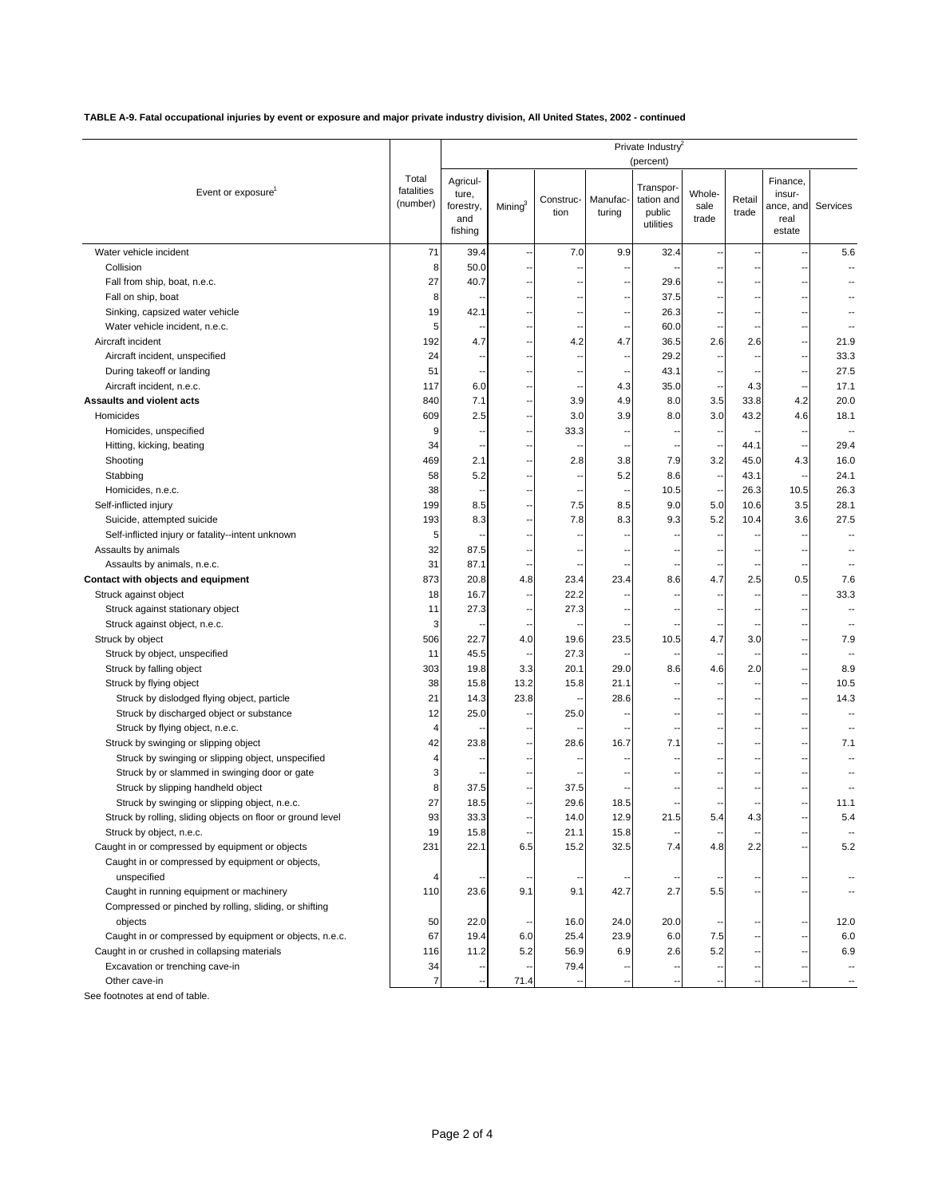**TABLE A-9. Fatal occupational injuries by event or exposure and major private industry division, All United States, 2002 - continued**

| Total<br>Agricul-<br>Finance,<br>Transpor-<br>fatalities<br>Event or exposure<br>Whole-<br>ture,<br>insur-<br>Manufac-<br>tation and<br>Retail<br>Construc-<br>(number)<br>Mining $3$<br>Services<br>forestry,<br>sale<br>ance, and<br>trade<br>tion<br>turing<br>public<br>and<br>trade<br>real<br>utilities<br>fishing<br>estate<br>Water vehicle incident<br>71<br>39.4<br>7.0<br>9.9<br>32.4<br>5.6<br>٠.<br>Collision<br>8<br>50.0<br>27<br>Fall from ship, boat, n.e.c.<br>40.7<br>29.6<br>Fall on ship, boat<br>37.5<br>8<br>19<br>42.1<br>26.3<br>Sinking, capsized water vehicle<br>Ξ.<br>٠.<br>60.0<br>Water vehicle incident, n.e.c.<br>5<br>4.2<br>Aircraft incident<br>192<br>4.7<br>2.6<br>21.9<br>4.7<br>36.5<br>2.6<br>Aircraft incident, unspecified<br>24<br>29.2<br>33.3<br>٠.<br>--<br>--<br>51<br>27.5<br>During takeoff or landing<br>43.1<br>Aircraft incident, n.e.c.<br>117<br>6.0<br>4.3<br>35.0<br>4.3<br>17.1<br>840<br>7.1<br>3.9<br>4.9<br>8.0<br>3.5<br>33.8<br>4.2<br>20.0<br>٠.<br>3.9<br>609<br>2.5<br>3.0<br>3.0<br>43.2<br>4.6<br>18.1<br>Homicides<br>8.0<br>Homicides, unspecified<br>9<br>33.3<br>34<br>29.4<br>Hitting, kicking, beating<br>44.1<br>$\overline{\phantom{a}}$<br>٠.<br>469<br>2.1<br>2.8<br>3.8<br>7.9<br>3.2<br>45.0<br>4.3<br>16.0<br>Shooting<br>۰.<br>Stabbing<br>58<br>5.2<br>5.2<br>43.1<br>24.1<br>8.6<br>--<br>Homicides, n.e.c.<br>38<br>10.5<br>26.3<br>10.5<br>26.3<br>$\overline{\phantom{a}}$<br>3.5<br>Self-inflicted injury<br>199<br>7.5<br>9.0<br>10.6<br>28.1<br>8.5<br>8.5<br>5.0<br>۰.<br>27.5<br>193<br>8.3<br>7.8<br>8.3<br>9.3<br>5.2<br>10.4<br>3.6<br>Suicide, attempted suicide<br>Ξ.<br>Self-inflicted injury or fatality--intent unknown<br>5<br>32<br>87.5<br>Assaults by animals<br>Assaults by animals, n.e.c.<br>31<br>87.1<br>Н,<br>$\overline{\phantom{a}}$<br>$\overline{\phantom{a}}$<br>Contact with objects and equipment<br>873<br>4.8<br>4.7<br>2.5<br>7.6<br>20.8<br>23.4<br>23.4<br>8.6<br>0.5<br>Struck against object<br>18<br>16.7<br>22.2<br>33.3<br>Struck against stationary object<br>27.3<br>27.3<br>11<br>۰.<br>--<br>Struck against object, n.e.c.<br>3<br>Struck by object<br>506<br>22.7<br>4.0<br>19.6<br>23.5<br>4.7<br>3.0<br>7.9<br>10.5<br>27.3<br>Struck by object, unspecified<br>11<br>45.5<br>н,<br>Struck by falling object<br>303<br>19.8<br>3.3<br>20.1<br>29.0<br>2.0<br>8.9<br>8.6<br>4.6<br>38<br>15.8<br>13.2<br>15.8<br>21.1<br>10.5<br>Struck by flying object<br>21<br>14.3<br>23.8<br>28.6<br>14.3<br>Struck by dislodged flying object, particle<br>12<br>25.0<br>Struck by discharged object or substance<br>25.0<br>Struck by flying object, n.e.c.<br>4<br>Ξ.<br>н.<br>--<br>--<br>42<br>7.1<br>Struck by swinging or slipping object<br>23.8<br>28.6<br>16.7<br>7.1<br>4<br>Struck by swinging or slipping object, unspecified<br>Struck by or slammed in swinging door or gate<br>3<br>۰.<br>--<br>8<br>37.5<br>37.5<br>Struck by slipping handheld object<br>27<br>18.5<br>29.6<br>18.5<br>Struck by swinging or slipping object, n.e.c.<br>11.1<br>٠.<br>Struck by rolling, sliding objects on floor or ground level<br>93<br>33.3<br>14.0<br>12.9<br>21.5<br>5.4<br>4.3<br>5.4<br>19<br>15.8<br>15.8<br>Struck by object, n.e.c.<br>21.1<br>۰.<br>Caught in or compressed by equipment or objects<br>32.5<br>231<br>22.1<br>6.5<br>15.2<br>7.4<br>4.8<br>2.2<br>5.2<br>--<br>Caught in or compressed by equipment or objects,<br>unspecified<br>4<br>--<br>۰.<br>Caught in running equipment or machinery<br>110<br>23.6<br>9.1<br>42.7<br>2.7<br>5.5<br>9.1<br>$\overline{\phantom{a}}$<br>Compressed or pinched by rolling, sliding, or shifting<br>22.0<br>50<br>24.0<br>20.0<br>12.0<br>objects<br>16.0<br>۰.<br>25.4<br>23.9<br>Caught in or compressed by equipment or objects, n.e.c.<br>67<br>19.4<br>6.0<br>6.0<br>7.5<br>6.0<br>۰.<br>۰.<br>Caught in or crushed in collapsing materials<br>116<br>11.2<br>5.2<br>56.9<br>6.9<br>5.2<br>6.9<br>2.6<br>Excavation or trenching cave-in<br>34<br>79.4<br>$\overline{7}$<br>Other cave-in<br>71.4 |                           | Private Industry <sup>2</sup><br>(percent) |  |  |  |  |  |  |  |  |
|----------------------------------------------------------------------------------------------------------------------------------------------------------------------------------------------------------------------------------------------------------------------------------------------------------------------------------------------------------------------------------------------------------------------------------------------------------------------------------------------------------------------------------------------------------------------------------------------------------------------------------------------------------------------------------------------------------------------------------------------------------------------------------------------------------------------------------------------------------------------------------------------------------------------------------------------------------------------------------------------------------------------------------------------------------------------------------------------------------------------------------------------------------------------------------------------------------------------------------------------------------------------------------------------------------------------------------------------------------------------------------------------------------------------------------------------------------------------------------------------------------------------------------------------------------------------------------------------------------------------------------------------------------------------------------------------------------------------------------------------------------------------------------------------------------------------------------------------------------------------------------------------------------------------------------------------------------------------------------------------------------------------------------------------------------------------------------------------------------------------------------------------------------------------------------------------------------------------------------------------------------------------------------------------------------------------------------------------------------------------------------------------------------------------------------------------------------------------------------------------------------------------------------------------------------------------------------------------------------------------------------------------------------------------------------------------------------------------------------------------------------------------------------------------------------------------------------------------------------------------------------------------------------------------------------------------------------------------------------------------------------------------------------------------------------------------------------------------------------------------------------------------------------------------------------------------------------------------------------------------------------------------------------------------------------------------------------------------------------------------------------------------------------------------------------------------------------------------------------------------------------------------------------------------------------------------------------------------------------------------------------------------------------------------------------------------------------------------------------------------------------------------------------------------------------------------------------------------------------------------------------------------------------------------------------------------------------------------------------------------------------------------------------------------------------------------------------------------------|---------------------------|--------------------------------------------|--|--|--|--|--|--|--|--|
|                                                                                                                                                                                                                                                                                                                                                                                                                                                                                                                                                                                                                                                                                                                                                                                                                                                                                                                                                                                                                                                                                                                                                                                                                                                                                                                                                                                                                                                                                                                                                                                                                                                                                                                                                                                                                                                                                                                                                                                                                                                                                                                                                                                                                                                                                                                                                                                                                                                                                                                                                                                                                                                                                                                                                                                                                                                                                                                                                                                                                                                                                                                                                                                                                                                                                                                                                                                                                                                                                                                                                                                                                                                                                                                                                                                                                                                                                                                                                                                                                                                                                                    |                           |                                            |  |  |  |  |  |  |  |  |
|                                                                                                                                                                                                                                                                                                                                                                                                                                                                                                                                                                                                                                                                                                                                                                                                                                                                                                                                                                                                                                                                                                                                                                                                                                                                                                                                                                                                                                                                                                                                                                                                                                                                                                                                                                                                                                                                                                                                                                                                                                                                                                                                                                                                                                                                                                                                                                                                                                                                                                                                                                                                                                                                                                                                                                                                                                                                                                                                                                                                                                                                                                                                                                                                                                                                                                                                                                                                                                                                                                                                                                                                                                                                                                                                                                                                                                                                                                                                                                                                                                                                                                    |                           |                                            |  |  |  |  |  |  |  |  |
|                                                                                                                                                                                                                                                                                                                                                                                                                                                                                                                                                                                                                                                                                                                                                                                                                                                                                                                                                                                                                                                                                                                                                                                                                                                                                                                                                                                                                                                                                                                                                                                                                                                                                                                                                                                                                                                                                                                                                                                                                                                                                                                                                                                                                                                                                                                                                                                                                                                                                                                                                                                                                                                                                                                                                                                                                                                                                                                                                                                                                                                                                                                                                                                                                                                                                                                                                                                                                                                                                                                                                                                                                                                                                                                                                                                                                                                                                                                                                                                                                                                                                                    |                           |                                            |  |  |  |  |  |  |  |  |
|                                                                                                                                                                                                                                                                                                                                                                                                                                                                                                                                                                                                                                                                                                                                                                                                                                                                                                                                                                                                                                                                                                                                                                                                                                                                                                                                                                                                                                                                                                                                                                                                                                                                                                                                                                                                                                                                                                                                                                                                                                                                                                                                                                                                                                                                                                                                                                                                                                                                                                                                                                                                                                                                                                                                                                                                                                                                                                                                                                                                                                                                                                                                                                                                                                                                                                                                                                                                                                                                                                                                                                                                                                                                                                                                                                                                                                                                                                                                                                                                                                                                                                    |                           |                                            |  |  |  |  |  |  |  |  |
|                                                                                                                                                                                                                                                                                                                                                                                                                                                                                                                                                                                                                                                                                                                                                                                                                                                                                                                                                                                                                                                                                                                                                                                                                                                                                                                                                                                                                                                                                                                                                                                                                                                                                                                                                                                                                                                                                                                                                                                                                                                                                                                                                                                                                                                                                                                                                                                                                                                                                                                                                                                                                                                                                                                                                                                                                                                                                                                                                                                                                                                                                                                                                                                                                                                                                                                                                                                                                                                                                                                                                                                                                                                                                                                                                                                                                                                                                                                                                                                                                                                                                                    |                           |                                            |  |  |  |  |  |  |  |  |
|                                                                                                                                                                                                                                                                                                                                                                                                                                                                                                                                                                                                                                                                                                                                                                                                                                                                                                                                                                                                                                                                                                                                                                                                                                                                                                                                                                                                                                                                                                                                                                                                                                                                                                                                                                                                                                                                                                                                                                                                                                                                                                                                                                                                                                                                                                                                                                                                                                                                                                                                                                                                                                                                                                                                                                                                                                                                                                                                                                                                                                                                                                                                                                                                                                                                                                                                                                                                                                                                                                                                                                                                                                                                                                                                                                                                                                                                                                                                                                                                                                                                                                    |                           |                                            |  |  |  |  |  |  |  |  |
|                                                                                                                                                                                                                                                                                                                                                                                                                                                                                                                                                                                                                                                                                                                                                                                                                                                                                                                                                                                                                                                                                                                                                                                                                                                                                                                                                                                                                                                                                                                                                                                                                                                                                                                                                                                                                                                                                                                                                                                                                                                                                                                                                                                                                                                                                                                                                                                                                                                                                                                                                                                                                                                                                                                                                                                                                                                                                                                                                                                                                                                                                                                                                                                                                                                                                                                                                                                                                                                                                                                                                                                                                                                                                                                                                                                                                                                                                                                                                                                                                                                                                                    |                           |                                            |  |  |  |  |  |  |  |  |
|                                                                                                                                                                                                                                                                                                                                                                                                                                                                                                                                                                                                                                                                                                                                                                                                                                                                                                                                                                                                                                                                                                                                                                                                                                                                                                                                                                                                                                                                                                                                                                                                                                                                                                                                                                                                                                                                                                                                                                                                                                                                                                                                                                                                                                                                                                                                                                                                                                                                                                                                                                                                                                                                                                                                                                                                                                                                                                                                                                                                                                                                                                                                                                                                                                                                                                                                                                                                                                                                                                                                                                                                                                                                                                                                                                                                                                                                                                                                                                                                                                                                                                    |                           |                                            |  |  |  |  |  |  |  |  |
|                                                                                                                                                                                                                                                                                                                                                                                                                                                                                                                                                                                                                                                                                                                                                                                                                                                                                                                                                                                                                                                                                                                                                                                                                                                                                                                                                                                                                                                                                                                                                                                                                                                                                                                                                                                                                                                                                                                                                                                                                                                                                                                                                                                                                                                                                                                                                                                                                                                                                                                                                                                                                                                                                                                                                                                                                                                                                                                                                                                                                                                                                                                                                                                                                                                                                                                                                                                                                                                                                                                                                                                                                                                                                                                                                                                                                                                                                                                                                                                                                                                                                                    |                           |                                            |  |  |  |  |  |  |  |  |
|                                                                                                                                                                                                                                                                                                                                                                                                                                                                                                                                                                                                                                                                                                                                                                                                                                                                                                                                                                                                                                                                                                                                                                                                                                                                                                                                                                                                                                                                                                                                                                                                                                                                                                                                                                                                                                                                                                                                                                                                                                                                                                                                                                                                                                                                                                                                                                                                                                                                                                                                                                                                                                                                                                                                                                                                                                                                                                                                                                                                                                                                                                                                                                                                                                                                                                                                                                                                                                                                                                                                                                                                                                                                                                                                                                                                                                                                                                                                                                                                                                                                                                    |                           |                                            |  |  |  |  |  |  |  |  |
|                                                                                                                                                                                                                                                                                                                                                                                                                                                                                                                                                                                                                                                                                                                                                                                                                                                                                                                                                                                                                                                                                                                                                                                                                                                                                                                                                                                                                                                                                                                                                                                                                                                                                                                                                                                                                                                                                                                                                                                                                                                                                                                                                                                                                                                                                                                                                                                                                                                                                                                                                                                                                                                                                                                                                                                                                                                                                                                                                                                                                                                                                                                                                                                                                                                                                                                                                                                                                                                                                                                                                                                                                                                                                                                                                                                                                                                                                                                                                                                                                                                                                                    |                           |                                            |  |  |  |  |  |  |  |  |
|                                                                                                                                                                                                                                                                                                                                                                                                                                                                                                                                                                                                                                                                                                                                                                                                                                                                                                                                                                                                                                                                                                                                                                                                                                                                                                                                                                                                                                                                                                                                                                                                                                                                                                                                                                                                                                                                                                                                                                                                                                                                                                                                                                                                                                                                                                                                                                                                                                                                                                                                                                                                                                                                                                                                                                                                                                                                                                                                                                                                                                                                                                                                                                                                                                                                                                                                                                                                                                                                                                                                                                                                                                                                                                                                                                                                                                                                                                                                                                                                                                                                                                    | Assaults and violent acts |                                            |  |  |  |  |  |  |  |  |
|                                                                                                                                                                                                                                                                                                                                                                                                                                                                                                                                                                                                                                                                                                                                                                                                                                                                                                                                                                                                                                                                                                                                                                                                                                                                                                                                                                                                                                                                                                                                                                                                                                                                                                                                                                                                                                                                                                                                                                                                                                                                                                                                                                                                                                                                                                                                                                                                                                                                                                                                                                                                                                                                                                                                                                                                                                                                                                                                                                                                                                                                                                                                                                                                                                                                                                                                                                                                                                                                                                                                                                                                                                                                                                                                                                                                                                                                                                                                                                                                                                                                                                    |                           |                                            |  |  |  |  |  |  |  |  |
|                                                                                                                                                                                                                                                                                                                                                                                                                                                                                                                                                                                                                                                                                                                                                                                                                                                                                                                                                                                                                                                                                                                                                                                                                                                                                                                                                                                                                                                                                                                                                                                                                                                                                                                                                                                                                                                                                                                                                                                                                                                                                                                                                                                                                                                                                                                                                                                                                                                                                                                                                                                                                                                                                                                                                                                                                                                                                                                                                                                                                                                                                                                                                                                                                                                                                                                                                                                                                                                                                                                                                                                                                                                                                                                                                                                                                                                                                                                                                                                                                                                                                                    |                           |                                            |  |  |  |  |  |  |  |  |
|                                                                                                                                                                                                                                                                                                                                                                                                                                                                                                                                                                                                                                                                                                                                                                                                                                                                                                                                                                                                                                                                                                                                                                                                                                                                                                                                                                                                                                                                                                                                                                                                                                                                                                                                                                                                                                                                                                                                                                                                                                                                                                                                                                                                                                                                                                                                                                                                                                                                                                                                                                                                                                                                                                                                                                                                                                                                                                                                                                                                                                                                                                                                                                                                                                                                                                                                                                                                                                                                                                                                                                                                                                                                                                                                                                                                                                                                                                                                                                                                                                                                                                    |                           |                                            |  |  |  |  |  |  |  |  |
|                                                                                                                                                                                                                                                                                                                                                                                                                                                                                                                                                                                                                                                                                                                                                                                                                                                                                                                                                                                                                                                                                                                                                                                                                                                                                                                                                                                                                                                                                                                                                                                                                                                                                                                                                                                                                                                                                                                                                                                                                                                                                                                                                                                                                                                                                                                                                                                                                                                                                                                                                                                                                                                                                                                                                                                                                                                                                                                                                                                                                                                                                                                                                                                                                                                                                                                                                                                                                                                                                                                                                                                                                                                                                                                                                                                                                                                                                                                                                                                                                                                                                                    |                           |                                            |  |  |  |  |  |  |  |  |
|                                                                                                                                                                                                                                                                                                                                                                                                                                                                                                                                                                                                                                                                                                                                                                                                                                                                                                                                                                                                                                                                                                                                                                                                                                                                                                                                                                                                                                                                                                                                                                                                                                                                                                                                                                                                                                                                                                                                                                                                                                                                                                                                                                                                                                                                                                                                                                                                                                                                                                                                                                                                                                                                                                                                                                                                                                                                                                                                                                                                                                                                                                                                                                                                                                                                                                                                                                                                                                                                                                                                                                                                                                                                                                                                                                                                                                                                                                                                                                                                                                                                                                    |                           |                                            |  |  |  |  |  |  |  |  |
|                                                                                                                                                                                                                                                                                                                                                                                                                                                                                                                                                                                                                                                                                                                                                                                                                                                                                                                                                                                                                                                                                                                                                                                                                                                                                                                                                                                                                                                                                                                                                                                                                                                                                                                                                                                                                                                                                                                                                                                                                                                                                                                                                                                                                                                                                                                                                                                                                                                                                                                                                                                                                                                                                                                                                                                                                                                                                                                                                                                                                                                                                                                                                                                                                                                                                                                                                                                                                                                                                                                                                                                                                                                                                                                                                                                                                                                                                                                                                                                                                                                                                                    |                           |                                            |  |  |  |  |  |  |  |  |
|                                                                                                                                                                                                                                                                                                                                                                                                                                                                                                                                                                                                                                                                                                                                                                                                                                                                                                                                                                                                                                                                                                                                                                                                                                                                                                                                                                                                                                                                                                                                                                                                                                                                                                                                                                                                                                                                                                                                                                                                                                                                                                                                                                                                                                                                                                                                                                                                                                                                                                                                                                                                                                                                                                                                                                                                                                                                                                                                                                                                                                                                                                                                                                                                                                                                                                                                                                                                                                                                                                                                                                                                                                                                                                                                                                                                                                                                                                                                                                                                                                                                                                    |                           |                                            |  |  |  |  |  |  |  |  |
|                                                                                                                                                                                                                                                                                                                                                                                                                                                                                                                                                                                                                                                                                                                                                                                                                                                                                                                                                                                                                                                                                                                                                                                                                                                                                                                                                                                                                                                                                                                                                                                                                                                                                                                                                                                                                                                                                                                                                                                                                                                                                                                                                                                                                                                                                                                                                                                                                                                                                                                                                                                                                                                                                                                                                                                                                                                                                                                                                                                                                                                                                                                                                                                                                                                                                                                                                                                                                                                                                                                                                                                                                                                                                                                                                                                                                                                                                                                                                                                                                                                                                                    |                           |                                            |  |  |  |  |  |  |  |  |
|                                                                                                                                                                                                                                                                                                                                                                                                                                                                                                                                                                                                                                                                                                                                                                                                                                                                                                                                                                                                                                                                                                                                                                                                                                                                                                                                                                                                                                                                                                                                                                                                                                                                                                                                                                                                                                                                                                                                                                                                                                                                                                                                                                                                                                                                                                                                                                                                                                                                                                                                                                                                                                                                                                                                                                                                                                                                                                                                                                                                                                                                                                                                                                                                                                                                                                                                                                                                                                                                                                                                                                                                                                                                                                                                                                                                                                                                                                                                                                                                                                                                                                    |                           |                                            |  |  |  |  |  |  |  |  |
|                                                                                                                                                                                                                                                                                                                                                                                                                                                                                                                                                                                                                                                                                                                                                                                                                                                                                                                                                                                                                                                                                                                                                                                                                                                                                                                                                                                                                                                                                                                                                                                                                                                                                                                                                                                                                                                                                                                                                                                                                                                                                                                                                                                                                                                                                                                                                                                                                                                                                                                                                                                                                                                                                                                                                                                                                                                                                                                                                                                                                                                                                                                                                                                                                                                                                                                                                                                                                                                                                                                                                                                                                                                                                                                                                                                                                                                                                                                                                                                                                                                                                                    |                           |                                            |  |  |  |  |  |  |  |  |
|                                                                                                                                                                                                                                                                                                                                                                                                                                                                                                                                                                                                                                                                                                                                                                                                                                                                                                                                                                                                                                                                                                                                                                                                                                                                                                                                                                                                                                                                                                                                                                                                                                                                                                                                                                                                                                                                                                                                                                                                                                                                                                                                                                                                                                                                                                                                                                                                                                                                                                                                                                                                                                                                                                                                                                                                                                                                                                                                                                                                                                                                                                                                                                                                                                                                                                                                                                                                                                                                                                                                                                                                                                                                                                                                                                                                                                                                                                                                                                                                                                                                                                    |                           |                                            |  |  |  |  |  |  |  |  |
|                                                                                                                                                                                                                                                                                                                                                                                                                                                                                                                                                                                                                                                                                                                                                                                                                                                                                                                                                                                                                                                                                                                                                                                                                                                                                                                                                                                                                                                                                                                                                                                                                                                                                                                                                                                                                                                                                                                                                                                                                                                                                                                                                                                                                                                                                                                                                                                                                                                                                                                                                                                                                                                                                                                                                                                                                                                                                                                                                                                                                                                                                                                                                                                                                                                                                                                                                                                                                                                                                                                                                                                                                                                                                                                                                                                                                                                                                                                                                                                                                                                                                                    |                           |                                            |  |  |  |  |  |  |  |  |
|                                                                                                                                                                                                                                                                                                                                                                                                                                                                                                                                                                                                                                                                                                                                                                                                                                                                                                                                                                                                                                                                                                                                                                                                                                                                                                                                                                                                                                                                                                                                                                                                                                                                                                                                                                                                                                                                                                                                                                                                                                                                                                                                                                                                                                                                                                                                                                                                                                                                                                                                                                                                                                                                                                                                                                                                                                                                                                                                                                                                                                                                                                                                                                                                                                                                                                                                                                                                                                                                                                                                                                                                                                                                                                                                                                                                                                                                                                                                                                                                                                                                                                    |                           |                                            |  |  |  |  |  |  |  |  |
|                                                                                                                                                                                                                                                                                                                                                                                                                                                                                                                                                                                                                                                                                                                                                                                                                                                                                                                                                                                                                                                                                                                                                                                                                                                                                                                                                                                                                                                                                                                                                                                                                                                                                                                                                                                                                                                                                                                                                                                                                                                                                                                                                                                                                                                                                                                                                                                                                                                                                                                                                                                                                                                                                                                                                                                                                                                                                                                                                                                                                                                                                                                                                                                                                                                                                                                                                                                                                                                                                                                                                                                                                                                                                                                                                                                                                                                                                                                                                                                                                                                                                                    |                           |                                            |  |  |  |  |  |  |  |  |
|                                                                                                                                                                                                                                                                                                                                                                                                                                                                                                                                                                                                                                                                                                                                                                                                                                                                                                                                                                                                                                                                                                                                                                                                                                                                                                                                                                                                                                                                                                                                                                                                                                                                                                                                                                                                                                                                                                                                                                                                                                                                                                                                                                                                                                                                                                                                                                                                                                                                                                                                                                                                                                                                                                                                                                                                                                                                                                                                                                                                                                                                                                                                                                                                                                                                                                                                                                                                                                                                                                                                                                                                                                                                                                                                                                                                                                                                                                                                                                                                                                                                                                    |                           |                                            |  |  |  |  |  |  |  |  |
|                                                                                                                                                                                                                                                                                                                                                                                                                                                                                                                                                                                                                                                                                                                                                                                                                                                                                                                                                                                                                                                                                                                                                                                                                                                                                                                                                                                                                                                                                                                                                                                                                                                                                                                                                                                                                                                                                                                                                                                                                                                                                                                                                                                                                                                                                                                                                                                                                                                                                                                                                                                                                                                                                                                                                                                                                                                                                                                                                                                                                                                                                                                                                                                                                                                                                                                                                                                                                                                                                                                                                                                                                                                                                                                                                                                                                                                                                                                                                                                                                                                                                                    |                           |                                            |  |  |  |  |  |  |  |  |
|                                                                                                                                                                                                                                                                                                                                                                                                                                                                                                                                                                                                                                                                                                                                                                                                                                                                                                                                                                                                                                                                                                                                                                                                                                                                                                                                                                                                                                                                                                                                                                                                                                                                                                                                                                                                                                                                                                                                                                                                                                                                                                                                                                                                                                                                                                                                                                                                                                                                                                                                                                                                                                                                                                                                                                                                                                                                                                                                                                                                                                                                                                                                                                                                                                                                                                                                                                                                                                                                                                                                                                                                                                                                                                                                                                                                                                                                                                                                                                                                                                                                                                    |                           |                                            |  |  |  |  |  |  |  |  |
|                                                                                                                                                                                                                                                                                                                                                                                                                                                                                                                                                                                                                                                                                                                                                                                                                                                                                                                                                                                                                                                                                                                                                                                                                                                                                                                                                                                                                                                                                                                                                                                                                                                                                                                                                                                                                                                                                                                                                                                                                                                                                                                                                                                                                                                                                                                                                                                                                                                                                                                                                                                                                                                                                                                                                                                                                                                                                                                                                                                                                                                                                                                                                                                                                                                                                                                                                                                                                                                                                                                                                                                                                                                                                                                                                                                                                                                                                                                                                                                                                                                                                                    |                           |                                            |  |  |  |  |  |  |  |  |
|                                                                                                                                                                                                                                                                                                                                                                                                                                                                                                                                                                                                                                                                                                                                                                                                                                                                                                                                                                                                                                                                                                                                                                                                                                                                                                                                                                                                                                                                                                                                                                                                                                                                                                                                                                                                                                                                                                                                                                                                                                                                                                                                                                                                                                                                                                                                                                                                                                                                                                                                                                                                                                                                                                                                                                                                                                                                                                                                                                                                                                                                                                                                                                                                                                                                                                                                                                                                                                                                                                                                                                                                                                                                                                                                                                                                                                                                                                                                                                                                                                                                                                    |                           |                                            |  |  |  |  |  |  |  |  |
|                                                                                                                                                                                                                                                                                                                                                                                                                                                                                                                                                                                                                                                                                                                                                                                                                                                                                                                                                                                                                                                                                                                                                                                                                                                                                                                                                                                                                                                                                                                                                                                                                                                                                                                                                                                                                                                                                                                                                                                                                                                                                                                                                                                                                                                                                                                                                                                                                                                                                                                                                                                                                                                                                                                                                                                                                                                                                                                                                                                                                                                                                                                                                                                                                                                                                                                                                                                                                                                                                                                                                                                                                                                                                                                                                                                                                                                                                                                                                                                                                                                                                                    |                           |                                            |  |  |  |  |  |  |  |  |
|                                                                                                                                                                                                                                                                                                                                                                                                                                                                                                                                                                                                                                                                                                                                                                                                                                                                                                                                                                                                                                                                                                                                                                                                                                                                                                                                                                                                                                                                                                                                                                                                                                                                                                                                                                                                                                                                                                                                                                                                                                                                                                                                                                                                                                                                                                                                                                                                                                                                                                                                                                                                                                                                                                                                                                                                                                                                                                                                                                                                                                                                                                                                                                                                                                                                                                                                                                                                                                                                                                                                                                                                                                                                                                                                                                                                                                                                                                                                                                                                                                                                                                    |                           |                                            |  |  |  |  |  |  |  |  |
|                                                                                                                                                                                                                                                                                                                                                                                                                                                                                                                                                                                                                                                                                                                                                                                                                                                                                                                                                                                                                                                                                                                                                                                                                                                                                                                                                                                                                                                                                                                                                                                                                                                                                                                                                                                                                                                                                                                                                                                                                                                                                                                                                                                                                                                                                                                                                                                                                                                                                                                                                                                                                                                                                                                                                                                                                                                                                                                                                                                                                                                                                                                                                                                                                                                                                                                                                                                                                                                                                                                                                                                                                                                                                                                                                                                                                                                                                                                                                                                                                                                                                                    |                           |                                            |  |  |  |  |  |  |  |  |
|                                                                                                                                                                                                                                                                                                                                                                                                                                                                                                                                                                                                                                                                                                                                                                                                                                                                                                                                                                                                                                                                                                                                                                                                                                                                                                                                                                                                                                                                                                                                                                                                                                                                                                                                                                                                                                                                                                                                                                                                                                                                                                                                                                                                                                                                                                                                                                                                                                                                                                                                                                                                                                                                                                                                                                                                                                                                                                                                                                                                                                                                                                                                                                                                                                                                                                                                                                                                                                                                                                                                                                                                                                                                                                                                                                                                                                                                                                                                                                                                                                                                                                    |                           |                                            |  |  |  |  |  |  |  |  |
|                                                                                                                                                                                                                                                                                                                                                                                                                                                                                                                                                                                                                                                                                                                                                                                                                                                                                                                                                                                                                                                                                                                                                                                                                                                                                                                                                                                                                                                                                                                                                                                                                                                                                                                                                                                                                                                                                                                                                                                                                                                                                                                                                                                                                                                                                                                                                                                                                                                                                                                                                                                                                                                                                                                                                                                                                                                                                                                                                                                                                                                                                                                                                                                                                                                                                                                                                                                                                                                                                                                                                                                                                                                                                                                                                                                                                                                                                                                                                                                                                                                                                                    |                           |                                            |  |  |  |  |  |  |  |  |
|                                                                                                                                                                                                                                                                                                                                                                                                                                                                                                                                                                                                                                                                                                                                                                                                                                                                                                                                                                                                                                                                                                                                                                                                                                                                                                                                                                                                                                                                                                                                                                                                                                                                                                                                                                                                                                                                                                                                                                                                                                                                                                                                                                                                                                                                                                                                                                                                                                                                                                                                                                                                                                                                                                                                                                                                                                                                                                                                                                                                                                                                                                                                                                                                                                                                                                                                                                                                                                                                                                                                                                                                                                                                                                                                                                                                                                                                                                                                                                                                                                                                                                    |                           |                                            |  |  |  |  |  |  |  |  |
|                                                                                                                                                                                                                                                                                                                                                                                                                                                                                                                                                                                                                                                                                                                                                                                                                                                                                                                                                                                                                                                                                                                                                                                                                                                                                                                                                                                                                                                                                                                                                                                                                                                                                                                                                                                                                                                                                                                                                                                                                                                                                                                                                                                                                                                                                                                                                                                                                                                                                                                                                                                                                                                                                                                                                                                                                                                                                                                                                                                                                                                                                                                                                                                                                                                                                                                                                                                                                                                                                                                                                                                                                                                                                                                                                                                                                                                                                                                                                                                                                                                                                                    |                           |                                            |  |  |  |  |  |  |  |  |
|                                                                                                                                                                                                                                                                                                                                                                                                                                                                                                                                                                                                                                                                                                                                                                                                                                                                                                                                                                                                                                                                                                                                                                                                                                                                                                                                                                                                                                                                                                                                                                                                                                                                                                                                                                                                                                                                                                                                                                                                                                                                                                                                                                                                                                                                                                                                                                                                                                                                                                                                                                                                                                                                                                                                                                                                                                                                                                                                                                                                                                                                                                                                                                                                                                                                                                                                                                                                                                                                                                                                                                                                                                                                                                                                                                                                                                                                                                                                                                                                                                                                                                    |                           |                                            |  |  |  |  |  |  |  |  |
|                                                                                                                                                                                                                                                                                                                                                                                                                                                                                                                                                                                                                                                                                                                                                                                                                                                                                                                                                                                                                                                                                                                                                                                                                                                                                                                                                                                                                                                                                                                                                                                                                                                                                                                                                                                                                                                                                                                                                                                                                                                                                                                                                                                                                                                                                                                                                                                                                                                                                                                                                                                                                                                                                                                                                                                                                                                                                                                                                                                                                                                                                                                                                                                                                                                                                                                                                                                                                                                                                                                                                                                                                                                                                                                                                                                                                                                                                                                                                                                                                                                                                                    |                           |                                            |  |  |  |  |  |  |  |  |
|                                                                                                                                                                                                                                                                                                                                                                                                                                                                                                                                                                                                                                                                                                                                                                                                                                                                                                                                                                                                                                                                                                                                                                                                                                                                                                                                                                                                                                                                                                                                                                                                                                                                                                                                                                                                                                                                                                                                                                                                                                                                                                                                                                                                                                                                                                                                                                                                                                                                                                                                                                                                                                                                                                                                                                                                                                                                                                                                                                                                                                                                                                                                                                                                                                                                                                                                                                                                                                                                                                                                                                                                                                                                                                                                                                                                                                                                                                                                                                                                                                                                                                    |                           |                                            |  |  |  |  |  |  |  |  |
|                                                                                                                                                                                                                                                                                                                                                                                                                                                                                                                                                                                                                                                                                                                                                                                                                                                                                                                                                                                                                                                                                                                                                                                                                                                                                                                                                                                                                                                                                                                                                                                                                                                                                                                                                                                                                                                                                                                                                                                                                                                                                                                                                                                                                                                                                                                                                                                                                                                                                                                                                                                                                                                                                                                                                                                                                                                                                                                                                                                                                                                                                                                                                                                                                                                                                                                                                                                                                                                                                                                                                                                                                                                                                                                                                                                                                                                                                                                                                                                                                                                                                                    |                           |                                            |  |  |  |  |  |  |  |  |
|                                                                                                                                                                                                                                                                                                                                                                                                                                                                                                                                                                                                                                                                                                                                                                                                                                                                                                                                                                                                                                                                                                                                                                                                                                                                                                                                                                                                                                                                                                                                                                                                                                                                                                                                                                                                                                                                                                                                                                                                                                                                                                                                                                                                                                                                                                                                                                                                                                                                                                                                                                                                                                                                                                                                                                                                                                                                                                                                                                                                                                                                                                                                                                                                                                                                                                                                                                                                                                                                                                                                                                                                                                                                                                                                                                                                                                                                                                                                                                                                                                                                                                    |                           |                                            |  |  |  |  |  |  |  |  |
|                                                                                                                                                                                                                                                                                                                                                                                                                                                                                                                                                                                                                                                                                                                                                                                                                                                                                                                                                                                                                                                                                                                                                                                                                                                                                                                                                                                                                                                                                                                                                                                                                                                                                                                                                                                                                                                                                                                                                                                                                                                                                                                                                                                                                                                                                                                                                                                                                                                                                                                                                                                                                                                                                                                                                                                                                                                                                                                                                                                                                                                                                                                                                                                                                                                                                                                                                                                                                                                                                                                                                                                                                                                                                                                                                                                                                                                                                                                                                                                                                                                                                                    |                           |                                            |  |  |  |  |  |  |  |  |
|                                                                                                                                                                                                                                                                                                                                                                                                                                                                                                                                                                                                                                                                                                                                                                                                                                                                                                                                                                                                                                                                                                                                                                                                                                                                                                                                                                                                                                                                                                                                                                                                                                                                                                                                                                                                                                                                                                                                                                                                                                                                                                                                                                                                                                                                                                                                                                                                                                                                                                                                                                                                                                                                                                                                                                                                                                                                                                                                                                                                                                                                                                                                                                                                                                                                                                                                                                                                                                                                                                                                                                                                                                                                                                                                                                                                                                                                                                                                                                                                                                                                                                    |                           |                                            |  |  |  |  |  |  |  |  |
|                                                                                                                                                                                                                                                                                                                                                                                                                                                                                                                                                                                                                                                                                                                                                                                                                                                                                                                                                                                                                                                                                                                                                                                                                                                                                                                                                                                                                                                                                                                                                                                                                                                                                                                                                                                                                                                                                                                                                                                                                                                                                                                                                                                                                                                                                                                                                                                                                                                                                                                                                                                                                                                                                                                                                                                                                                                                                                                                                                                                                                                                                                                                                                                                                                                                                                                                                                                                                                                                                                                                                                                                                                                                                                                                                                                                                                                                                                                                                                                                                                                                                                    |                           |                                            |  |  |  |  |  |  |  |  |
|                                                                                                                                                                                                                                                                                                                                                                                                                                                                                                                                                                                                                                                                                                                                                                                                                                                                                                                                                                                                                                                                                                                                                                                                                                                                                                                                                                                                                                                                                                                                                                                                                                                                                                                                                                                                                                                                                                                                                                                                                                                                                                                                                                                                                                                                                                                                                                                                                                                                                                                                                                                                                                                                                                                                                                                                                                                                                                                                                                                                                                                                                                                                                                                                                                                                                                                                                                                                                                                                                                                                                                                                                                                                                                                                                                                                                                                                                                                                                                                                                                                                                                    |                           |                                            |  |  |  |  |  |  |  |  |
|                                                                                                                                                                                                                                                                                                                                                                                                                                                                                                                                                                                                                                                                                                                                                                                                                                                                                                                                                                                                                                                                                                                                                                                                                                                                                                                                                                                                                                                                                                                                                                                                                                                                                                                                                                                                                                                                                                                                                                                                                                                                                                                                                                                                                                                                                                                                                                                                                                                                                                                                                                                                                                                                                                                                                                                                                                                                                                                                                                                                                                                                                                                                                                                                                                                                                                                                                                                                                                                                                                                                                                                                                                                                                                                                                                                                                                                                                                                                                                                                                                                                                                    |                           |                                            |  |  |  |  |  |  |  |  |
|                                                                                                                                                                                                                                                                                                                                                                                                                                                                                                                                                                                                                                                                                                                                                                                                                                                                                                                                                                                                                                                                                                                                                                                                                                                                                                                                                                                                                                                                                                                                                                                                                                                                                                                                                                                                                                                                                                                                                                                                                                                                                                                                                                                                                                                                                                                                                                                                                                                                                                                                                                                                                                                                                                                                                                                                                                                                                                                                                                                                                                                                                                                                                                                                                                                                                                                                                                                                                                                                                                                                                                                                                                                                                                                                                                                                                                                                                                                                                                                                                                                                                                    |                           |                                            |  |  |  |  |  |  |  |  |
|                                                                                                                                                                                                                                                                                                                                                                                                                                                                                                                                                                                                                                                                                                                                                                                                                                                                                                                                                                                                                                                                                                                                                                                                                                                                                                                                                                                                                                                                                                                                                                                                                                                                                                                                                                                                                                                                                                                                                                                                                                                                                                                                                                                                                                                                                                                                                                                                                                                                                                                                                                                                                                                                                                                                                                                                                                                                                                                                                                                                                                                                                                                                                                                                                                                                                                                                                                                                                                                                                                                                                                                                                                                                                                                                                                                                                                                                                                                                                                                                                                                                                                    |                           |                                            |  |  |  |  |  |  |  |  |
|                                                                                                                                                                                                                                                                                                                                                                                                                                                                                                                                                                                                                                                                                                                                                                                                                                                                                                                                                                                                                                                                                                                                                                                                                                                                                                                                                                                                                                                                                                                                                                                                                                                                                                                                                                                                                                                                                                                                                                                                                                                                                                                                                                                                                                                                                                                                                                                                                                                                                                                                                                                                                                                                                                                                                                                                                                                                                                                                                                                                                                                                                                                                                                                                                                                                                                                                                                                                                                                                                                                                                                                                                                                                                                                                                                                                                                                                                                                                                                                                                                                                                                    |                           |                                            |  |  |  |  |  |  |  |  |

See footnotes at end of table.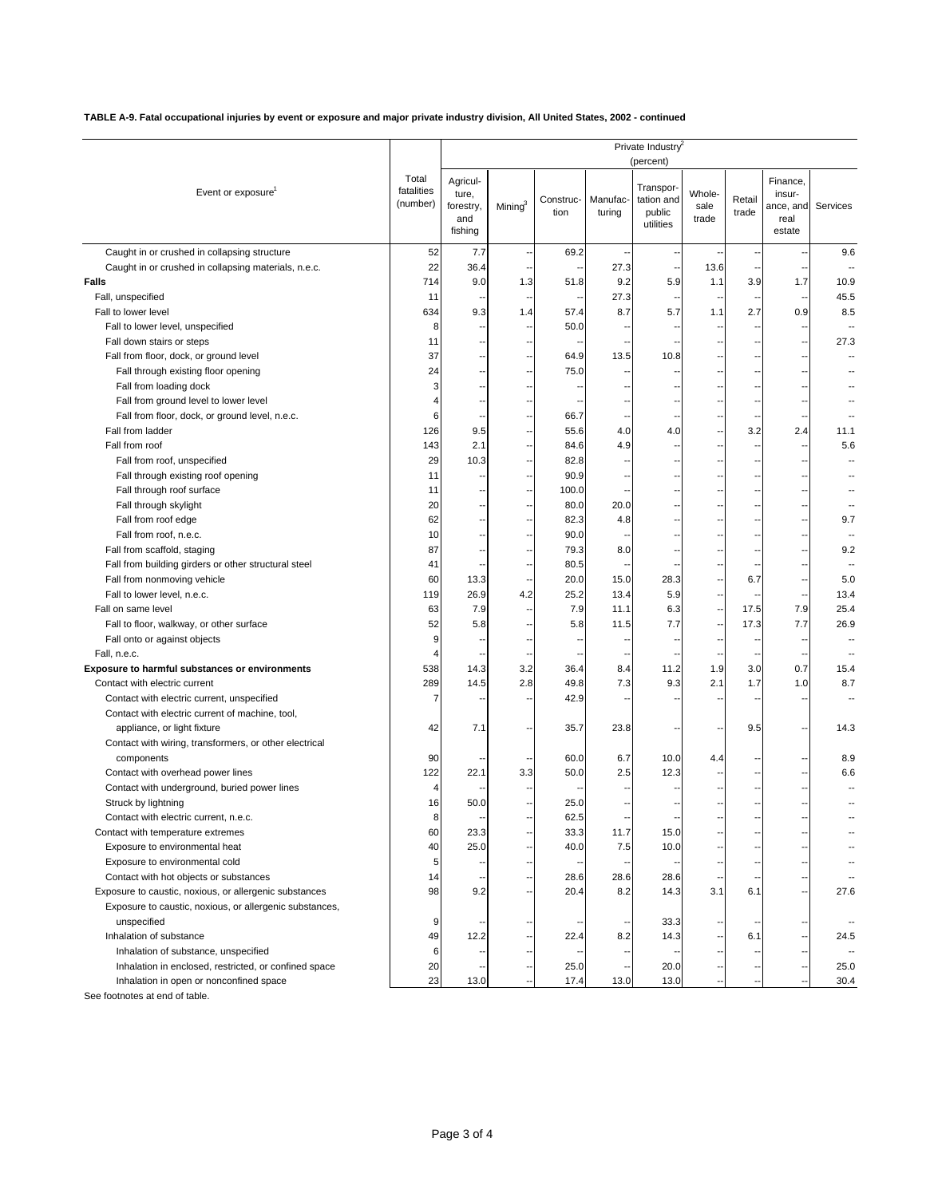**TABLE A-9. Fatal occupational injuries by event or exposure and major private industry division, All United States, 2002 - continued**

|                                                         |                                 | Private Industry<br>(percent)                    |            |                   |                          |                                                |                         |                          |                                                   |          |
|---------------------------------------------------------|---------------------------------|--------------------------------------------------|------------|-------------------|--------------------------|------------------------------------------------|-------------------------|--------------------------|---------------------------------------------------|----------|
| Event or exposure                                       | Total<br>fatalities<br>(number) | Agricul-<br>ture,<br>forestry,<br>and<br>fishing | Mining $3$ | Construc-<br>tion | Manufac-<br>turing       | Transpor-<br>tation and<br>public<br>utilities | Whole-<br>sale<br>trade | Retail<br>trade          | Finance,<br>insur-<br>ance, and<br>real<br>estate | Services |
| Caught in or crushed in collapsing structure            | 52                              | 7.7                                              | ٠.         | 69.2              | $\overline{\phantom{a}}$ |                                                |                         |                          | ٠.                                                | 9.6      |
| Caught in or crushed in collapsing materials, n.e.c.    | 22                              | 36.4                                             | Ξ.         |                   | 27.3                     |                                                | 13.6                    |                          |                                                   |          |
| <b>Falls</b>                                            | 714                             | 9.0                                              | 1.3        | 51.8              | 9.2                      | 5.9                                            | 1.1                     | 3.9                      | 1.7                                               | 10.9     |
| Fall, unspecified                                       | 11                              |                                                  |            |                   | 27.3                     |                                                |                         |                          |                                                   | 45.5     |
| Fall to lower level                                     | 634                             | 9.3                                              | 1.4        | 57.4              | 8.7                      | 5.7                                            | 1.1                     | 2.7                      | 0.9                                               | 8.5      |
| Fall to lower level, unspecified                        | 8                               |                                                  |            | 50.0              |                          |                                                |                         |                          |                                                   |          |
| Fall down stairs or steps                               | 11                              |                                                  |            |                   |                          |                                                |                         |                          |                                                   | 27.3     |
| Fall from floor, dock, or ground level                  | 37                              | ۰.                                               | ٠.         | 64.9              | 13.5                     | 10.8                                           |                         | $\overline{\phantom{a}}$ | --                                                |          |
| Fall through existing floor opening                     | 24                              |                                                  |            | 75.0              |                          |                                                |                         |                          |                                                   |          |
| Fall from loading dock                                  | 3                               |                                                  |            |                   |                          |                                                |                         |                          |                                                   |          |
| Fall from ground level to lower level                   | 4                               |                                                  | ٠.         |                   |                          |                                                |                         | $\overline{\phantom{a}}$ |                                                   |          |
| Fall from floor, dock, or ground level, n.e.c.          | 6                               |                                                  | Ξ.         | 66.7              | ٠.                       |                                                |                         |                          |                                                   |          |
| Fall from ladder                                        | 126                             | 9.5                                              | ٠.         | 55.6              | 4.0                      | 4.0                                            |                         | 3.2                      | 2.4                                               | 11.1     |
| Fall from roof                                          | 143                             | 2.1                                              | ٠.         | 84.6              | 4.9                      |                                                |                         |                          | --                                                | 5.6      |
| Fall from roof, unspecified                             | 29                              | 10.3                                             | Ξ.         | 82.8              | Ξ,                       |                                                |                         | --                       | --                                                |          |
| Fall through existing roof opening                      | 11                              |                                                  | ٠.         | 90.9              |                          |                                                |                         | --                       |                                                   |          |
| Fall through roof surface                               | 11                              |                                                  |            | 100.0             |                          |                                                |                         |                          |                                                   |          |
|                                                         | 20                              |                                                  |            | 80.0              | 20.0                     |                                                |                         |                          |                                                   |          |
| Fall through skylight                                   |                                 |                                                  |            |                   |                          |                                                |                         |                          |                                                   |          |
| Fall from roof edge                                     | 62                              | --                                               | Ξ.         | 82.3              | 4.8                      |                                                |                         | $\overline{\phantom{a}}$ | --                                                | 9.7      |
| Fall from roof, n.e.c.                                  | 10                              |                                                  |            | 90.0              |                          |                                                |                         |                          |                                                   |          |
| Fall from scaffold, staging                             | 87                              |                                                  | Ξ,         | 79.3              | 8.0                      |                                                |                         |                          |                                                   | 9.2      |
| Fall from building girders or other structural steel    | 41                              |                                                  | ٠.         | 80.5              |                          |                                                |                         | $\overline{\phantom{a}}$ |                                                   |          |
| Fall from nonmoving vehicle                             | 60                              | 13.3                                             |            | 20.0              | 15.0                     | 28.3                                           |                         | 6.7                      |                                                   | 5.0      |
| Fall to lower level, n.e.c.                             | 119                             | 26.9                                             | 4.2        | 25.2              | 13.4                     | 5.9                                            |                         |                          |                                                   | 13.4     |
| Fall on same level                                      | 63                              | 7.9                                              | ٠.         | 7.9               | 11.1                     | 6.3                                            |                         | 17.5                     | 7.9                                               | 25.4     |
| Fall to floor, walkway, or other surface                | 52                              | 5.8                                              | Ξ.         | 5.8               | 11.5                     | 7.7                                            | --                      | 17.3                     | 7.7                                               | 26.9     |
| Fall onto or against objects                            | 9                               |                                                  |            |                   |                          |                                                |                         |                          |                                                   |          |
| Fall, n.e.c.                                            | $\overline{4}$                  |                                                  |            |                   |                          |                                                |                         |                          |                                                   |          |
| <b>Exposure to harmful substances or environments</b>   | 538                             | 14.3                                             | 3.2        | 36.4              | 8.4                      | 11.2                                           | 1.9                     | 3.0                      | 0.7                                               | 15.4     |
| Contact with electric current                           | 289                             | 14.5                                             | 2.8        | 49.8              | 7.3                      | 9.3                                            | 2.1                     | 1.7                      | 1.0                                               | 8.7      |
| Contact with electric current, unspecified              | 7                               |                                                  |            | 42.9              |                          |                                                |                         |                          |                                                   |          |
| Contact with electric current of machine, tool,         |                                 |                                                  |            |                   |                          |                                                |                         |                          |                                                   |          |
| appliance, or light fixture                             | 42                              | 7.1                                              | Ξ.         | 35.7              | 23.8                     |                                                |                         | 9.5                      | --                                                | 14.3     |
| Contact with wiring, transformers, or other electrical  |                                 |                                                  |            |                   |                          |                                                |                         |                          |                                                   |          |
| components                                              | 90                              |                                                  |            | 60.0              | 6.7                      | 10.0                                           | 4.4                     |                          |                                                   | 8.9      |
| Contact with overhead power lines                       | 122                             | 22.1                                             | 3.3        | 50.0              | 2.5                      | 12.3                                           |                         |                          |                                                   | 6.6      |
| Contact with underground, buried power lines            | 4                               |                                                  |            |                   |                          |                                                |                         |                          | --                                                |          |
| Struck by lightning                                     | 16                              | 50.0                                             |            | 25.0              |                          |                                                |                         |                          |                                                   |          |
| Contact with electric current, n.e.c.                   | 8                               |                                                  |            | 62.5              |                          |                                                |                         |                          |                                                   |          |
| Contact with temperature extremes                       | 60                              | 23.3                                             | Ξ.         | 33.3              | 11.7                     | 15.0                                           |                         |                          |                                                   |          |
| Exposure to environmental heat                          | 40                              | 25.0                                             | --         | 40.0              | 7.5                      | 10.0                                           |                         | --                       |                                                   |          |
| Exposure to environmental cold                          | 5                               |                                                  |            |                   |                          |                                                |                         |                          |                                                   |          |
| Contact with hot objects or substances                  | 14                              |                                                  |            | 28.6              | 28.6                     | 28.6                                           |                         |                          |                                                   |          |
| Exposure to caustic, noxious, or allergenic substances  | 98                              | 9.2                                              | ٠.         | 20.4              | 8.2                      | 14.3                                           | 3.1                     | 6.1                      | --                                                | 27.6     |
| Exposure to caustic, noxious, or allergenic substances, |                                 |                                                  |            |                   |                          |                                                |                         |                          |                                                   |          |
| unspecified                                             | 9                               |                                                  |            |                   |                          | 33.3                                           |                         |                          |                                                   |          |
| Inhalation of substance                                 | 49                              | 12.2                                             | Ξ.         | 22.4              | 8.2                      | 14.3                                           |                         | 6.1                      | --                                                | 24.5     |
| Inhalation of substance, unspecified                    | 6                               |                                                  |            |                   |                          |                                                |                         |                          |                                                   |          |
| Inhalation in enclosed, restricted, or confined space   | 20                              |                                                  |            | 25.0              |                          | 20.0                                           |                         |                          |                                                   | 25.0     |
| Inhalation in open or nonconfined space                 | 23                              | 13.0                                             |            | 17.4              | 13.0                     | 13.0                                           |                         |                          |                                                   | 30.4     |

See footnotes at end of table.